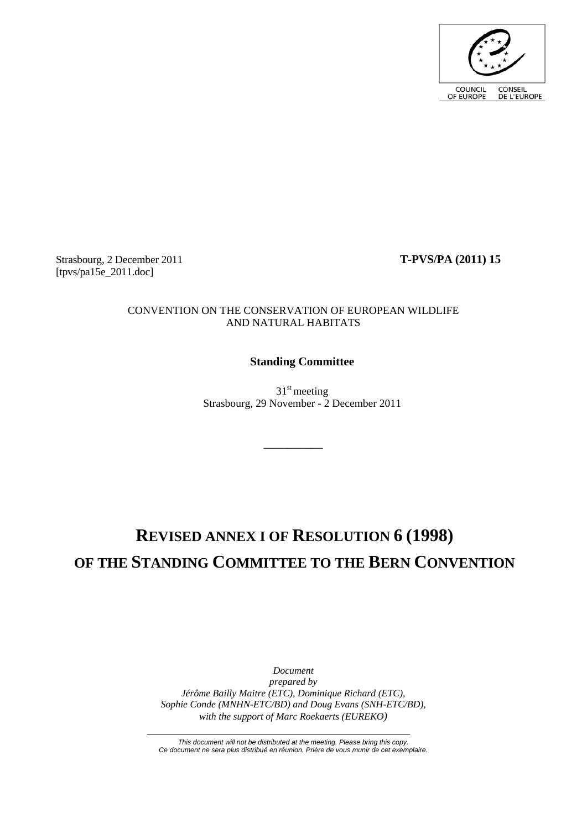

Strasbourg, 2 December 2011 **T-PVS/PA (2011) 15**  $[tpvs/pa15e 2011.doc]$ 

### CONVENTION ON THE CONSERVATION OF EUROPEAN WILDLIFE AND NATURAL HABITATS

# **Standing Committee**

 $31<sup>st</sup>$  meeting Strasbourg, 29 November - 2 December 2011

 $\overline{\phantom{a}}$   $\overline{\phantom{a}}$   $\overline{\phantom{a}}$   $\overline{\phantom{a}}$   $\overline{\phantom{a}}$   $\overline{\phantom{a}}$   $\overline{\phantom{a}}$   $\overline{\phantom{a}}$   $\overline{\phantom{a}}$   $\overline{\phantom{a}}$   $\overline{\phantom{a}}$   $\overline{\phantom{a}}$   $\overline{\phantom{a}}$   $\overline{\phantom{a}}$   $\overline{\phantom{a}}$   $\overline{\phantom{a}}$   $\overline{\phantom{a}}$   $\overline{\phantom{a}}$   $\overline{\$ 

# **REVISED ANNEX I OF RESOLUTION 6 (1998) OF THE STANDING COMMITTEE TO THE BERN CONVENTION**

*Document prepared by Jérôme Bailly Maitre (ETC), Dominique Richard (ETC), Sophie Conde (MNHN-ETC/BD) and Doug Evans (SNH-ETC/BD), with the support of Marc Roekaerts (EUREKO)*

*This document will not be distributed at the meeting. Please bring this copy. Ce document ne sera plus distribué en réunion. Prière de vous munir de cet exemplaire.*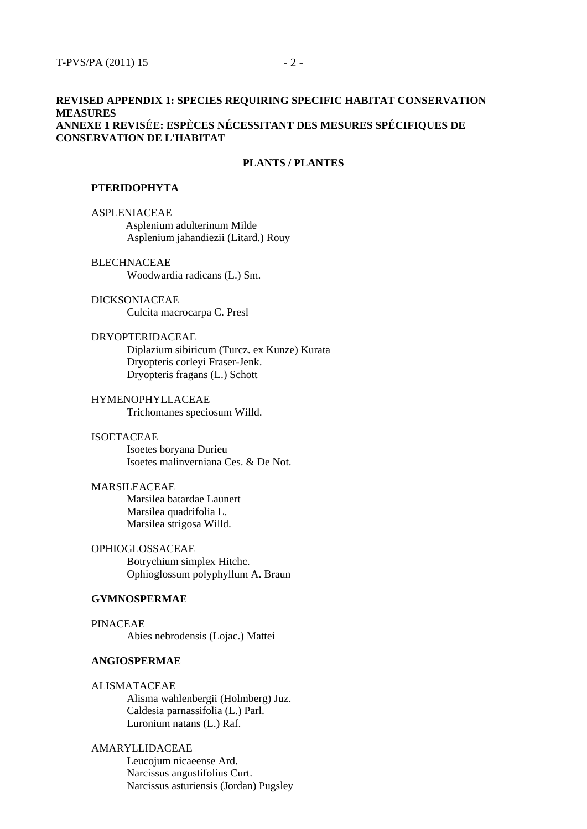### **REVISED APPENDIX 1: SPECIES REQUIRING SPECIFIC HABITAT CONSERVATION MEASURES ANNEXE 1 REVISÉE: ESPÈCES NÉCESSITANT DES MESURES SPÉCIFIQUES DE CONSERVATION DE L'HABITAT**

#### **PLANTS / PLANTES**

#### **PTERIDOPHYTA**

ASPLENIACEAE Asplenium adulterinum Milde Asplenium jahandiezii (Litard.) Rouy

BLECHNACEAE Woodwardia radicans (L.) Sm.

DICKSONIACEAE Culcita macrocarpa C. Presl

#### DRYOPTERIDACEAE

Diplazium sibiricum (Turcz. ex Kunze) Kurata Dryopteris corleyi Fraser-Jenk. Dryopteris fragans (L.) Schott

HYMENOPHYLLACEAE Trichomanes speciosum Willd.

### ISOETACEAE

Isoetes boryana Durieu Isoetes malinverniana Ces. & De Not.

### MARSILEACEAE

Marsilea batardae Launert Marsilea quadrifolia L. Marsilea strigosa Willd.

OPHIOGLOSSACEAE Botrychium simplex Hitchc. Ophioglossum polyphyllum A. Braun

### **GYMNOSPERMAE**

PINACEAE Abies nebrodensis (Lojac.) Mattei

### **ANGIOSPERMAE**

ALISMATACEAE Alisma wahlenbergii (Holmberg) Juz. Caldesia parnassifolia (L.) Parl. Luronium natans (L.) Raf.

AMARYLLIDACEAE Leucojum nicaeense Ard. Narcissus angustifolius Curt. Narcissus asturiensis (Jordan) Pugsley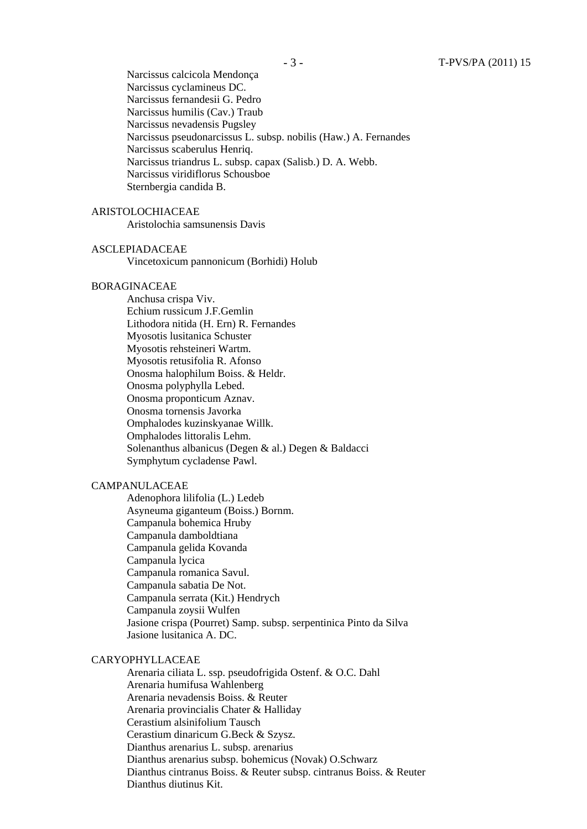Narcissus calcicola Mendonça Narcissus cyclamineus DC. Narcissus fernandesii G. Pedro Narcissus humilis (Cav.) Traub Narcissus nevadensis Pugsley Narcissus pseudonarcissus L. subsp. nobilis (Haw.) A. Fernandes Narcissus scaberulus Henriq. Narcissus triandrus L. subsp. capax (Salisb.) D. A. Webb. Narcissus viridiflorus Schousboe Sternbergia candida B.

### ARISTOLOCHIACEAE

Aristolochia samsunensis Davis

#### ASCLEPIADACEAE

Vincetoxicum pannonicum (Borhidi) Holub

#### BORAGINACEAE

Anchusa crispa Viv. Echium russicum J.F.Gemlin Lithodora nitida (H. Ern) R. Fernandes Myosotis lusitanica Schuster Myosotis rehsteineri Wartm. Myosotis retusifolia R. Afonso Onosma halophilum Boiss. & Heldr. Onosma polyphylla Lebed. Onosma proponticum Aznav. Onosma tornensis Javorka Omphalodes kuzinskyanae Willk. Omphalodes littoralis Lehm. Solenanthus albanicus (Degen & al.) Degen & Baldacci Symphytum cycladense Pawl.

### CAMPANULACEAE

Adenophora lilifolia (L.) Ledeb Asyneuma giganteum (Boiss.) Bornm. Campanula bohemica Hruby Campanula damboldtiana Campanula gelida Kovanda Campanula lycica Campanula romanica Savul. Campanula sabatia De Not. Campanula serrata (Kit.) Hendrych Campanula zoysii Wulfen Jasione crispa (Pourret) Samp. subsp. serpentinica Pinto da Silva Jasione lusitanica A. DC.

### CARYOPHYLLACEAE

Arenaria ciliata L. ssp. pseudofrigida Ostenf. & O.C. Dahl Arenaria humifusa Wahlenberg Arenaria nevadensis Boiss. & Reuter Arenaria provincialis Chater & Halliday Cerastium alsinifolium Tausch Cerastium dinaricum G.Beck & Szysz. Dianthus arenarius L. subsp. arenarius Dianthus arenarius subsp. bohemicus (Novak) O.Schwarz Dianthus cintranus Boiss. & Reuter subsp. cintranus Boiss. & Reuter Dianthus diutinus Kit.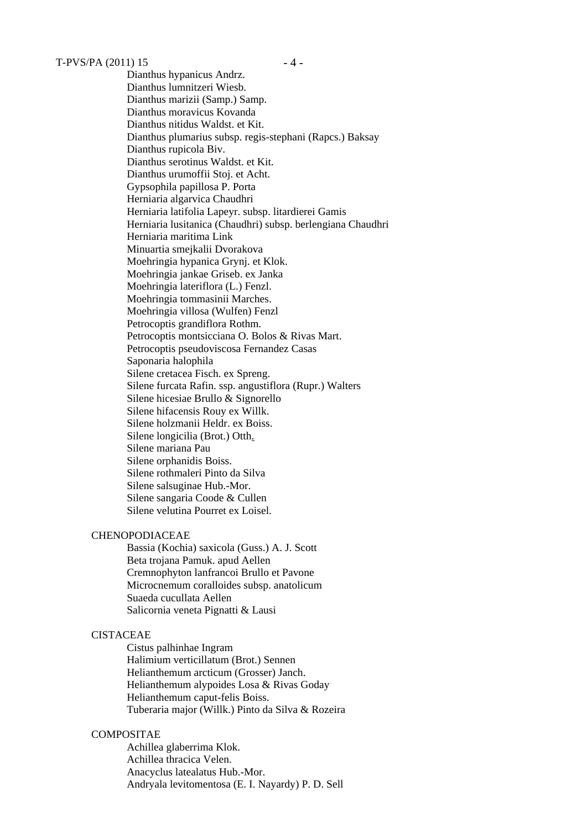Dianthus hypanicus Andrz. Dianthus lumnitzeri Wiesb. Dianthus marizii (Samp.) Samp. Dianthus moravicus Kovanda Dianthus nitidus Waldst. et Kit. Dianthus plumarius subsp. regis-stephani (Rapcs.) Baksay Dianthus rupicola Biv. Dianthus serotinus Waldst. et Kit. Dianthus urumoffii Stoj. et Acht. Gypsophila papillosa P. Porta Herniaria algarvica Chaudhri Herniaria latifolia Lapeyr. subsp. litardierei Gamis Herniaria lusitanica (Chaudhri) subsp. berlengiana Chaudhri Herniaria maritima Link Minuartia smejkalii Dvorakova Moehringia hypanica Grynj. et Klok. Moehringia jankae Griseb. ex Janka Moehringia lateriflora (L.) Fenzl. Moehringia tommasinii Marches. Moehringia villosa (Wulfen) Fenzl Petrocoptis grandiflora Rothm. Petrocoptis montsicciana O. Bolos & Rivas Mart. Petrocoptis pseudoviscosa Fernandez Casas Saponaria halophila Silene cretacea Fisch. ex Spreng. Silene furcata Rafin. ssp. angustiflora (Rupr.) Walters Silene hicesiae Brullo & Signorello Silene hifacensis Rouy ex Willk. Silene holzmanii Heldr. ex Boiss. Silene longicilia (Brot.) Otth. Silene mariana Pau Silene orphanidis Boiss. Silene rothmaleri Pinto da Silva Silene salsuginae Hub.-Mor. Silene sangaria Coode & Cullen Silene velutina Pourret ex Loisel.

### CHENOPODIACEAE

Bassia (Kochia) saxicola (Guss.) A. J. Scott Beta trojana Pamuk. apud Aellen Cremnophyton lanfrancoi Brullo et Pavone Microcnemum coralloides subsp. anatolicum Suaeda cucullata Aellen Salicornia veneta Pignatti & Lausi

#### CISTACEAE

Cistus palhinhae Ingram Halimium verticillatum (Brot.) Sennen Helianthemum arcticum (Grosser) Janch. Helianthemum alypoides Losa & Rivas Goday Helianthemum caput-felis Boiss. Tuberaria major (Willk.) Pinto da Silva & Rozeira

### COMPOSITAE

Achillea glaberrima Klok. Achillea thracica Velen. Anacyclus latealatus Hub.-Mor. Andryala levitomentosa (E. I. Nayardy) P. D. Sell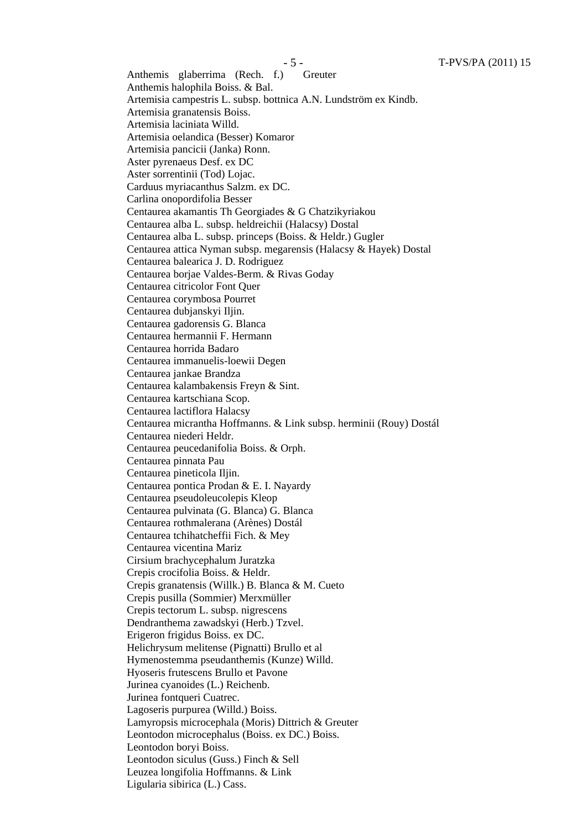Anthemis glaberrima (Rech. f.) Greuter Anthemis halophila Boiss. & Bal. Artemisia campestris L. subsp. bottnica A.N. Lundström ex Kindb. Artemisia granatensis Boiss. Artemisia laciniata Willd. Artemisia oelandica (Besser) Komaror Artemisia pancicii (Janka) Ronn. Aster pyrenaeus Desf. ex DC Aster sorrentinii (Tod) Lojac. Carduus myriacanthus Salzm. ex DC. Carlina onopordifolia Besser Centaurea akamantis Th Georgiades & G Chatzikyriakou Centaurea alba L. subsp. heldreichii (Halacsy) Dostal Centaurea alba L. subsp. princeps (Boiss. & Heldr.) Gugler Centaurea attica Nyman subsp. megarensis (Halacsy & Hayek) Dostal Centaurea balearica J. D. Rodriguez Centaurea borjae Valdes-Berm. & Rivas Goday Centaurea citricolor Font Quer Centaurea corymbosa Pourret Centaurea dubjanskyi Iljin. Centaurea gadorensis G. Blanca Centaurea hermannii F. Hermann Centaurea horrida Badaro Centaurea immanuelis-loewii Degen Centaurea jankae Brandza Centaurea kalambakensis Freyn & Sint. Centaurea kartschiana Scop. Centaurea lactiflora Halacsy Centaurea micrantha Hoffmanns. & Link subsp. herminii (Rouy) Dostál Centaurea niederi Heldr. Centaurea peucedanifolia Boiss. & Orph. Centaurea pinnata Pau Centaurea pineticola Iljin. Centaurea pontica Prodan & E. I. Nayardy Centaurea pseudoleucolepis Kleop Centaurea pulvinata (G. Blanca) G. Blanca Centaurea rothmalerana (Arènes) Dostál Centaurea tchihatcheffii Fich. & Mey Centaurea vicentina Mariz Cirsium brachycephalum Juratzka Crepis crocifolia Boiss. & Heldr. Crepis granatensis (Willk.) B. Blanca & M. Cueto Crepis pusilla (Sommier) Merxmüller Crepis tectorum L. subsp. nigrescens Dendranthema zawadskyi (Herb.) Tzvel. Erigeron frigidus Boiss. ex DC. Helichrysum melitense (Pignatti) Brullo et al Hymenostemma pseudanthemis (Kunze) Willd. Hyoseris frutescens Brullo et Pavone Jurinea cyanoides (L.) Reichenb. Jurinea fontqueri Cuatrec. Lagoseris purpurea (Willd.) Boiss. Lamyropsis microcephala (Moris) Dittrich & Greuter Leontodon microcephalus (Boiss. ex DC.) Boiss. Leontodon boryi Boiss. Leontodon siculus (Guss.) Finch & Sell Leuzea longifolia Hoffmanns. & Link Ligularia sibirica (L.) Cass.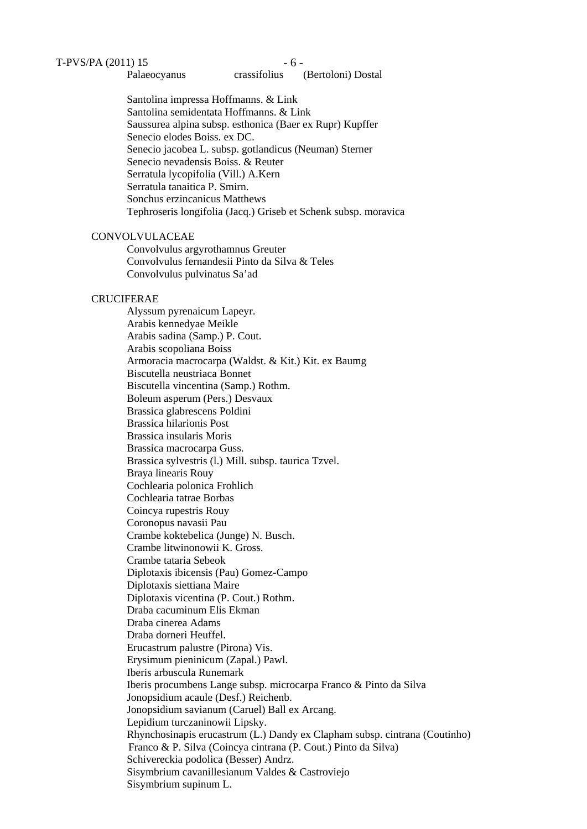#### Palaeocyanus crassifolius (Bertoloni) Dostal

Santolina impressa Hoffmanns. & Link Santolina semidentata Hoffmanns. & Link Saussurea alpina subsp. esthonica (Baer ex Rupr) Kupffer Senecio elodes Boiss. ex DC. Senecio jacobea L. subsp. gotlandicus (Neuman) Sterner Senecio nevadensis Boiss. & Reuter Serratula lycopifolia (Vill.) A.Kern Serratula tanaitica P. Smirn. Sonchus erzincanicus Matthews Tephroseris longifolia (Jacq.) Griseb et Schenk subsp. moravica

### **CONVOLVULACEAE**

Convolvulus argyrothamnus Greuter Convolvulus fernandesii Pinto da Silva & Teles Convolvulus pulvinatus Sa'ad

### **CRUCIFERAE**

Alyssum pyrenaicum Lapeyr. Arabis kennedyae Meikle Arabis sadina (Samp.) P. Cout. Arabis scopoliana Boiss Armoracia macrocarpa (Waldst. & Kit.) Kit. ex Baumg Biscutella neustriaca Bonnet Biscutella vincentina (Samp.) Rothm. Boleum asperum (Pers.) Desvaux Brassica glabrescens Poldini Brassica hilarionis Post Brassica insularis Moris Brassica macrocarpa Guss. Brassica sylvestris (l.) Mill. subsp. taurica Tzvel. Braya linearis Rouy Cochlearia polonica Frohlich Cochlearia tatrae Borbas Coincya rupestris Rouy Coronopus navasii Pau Crambe koktebelica (Junge) N. Busch. Crambe litwinonowii K. Gross. Crambe tataria Sebeok Diplotaxis ibicensis (Pau) Gomez-Campo Diplotaxis siettiana Maire Diplotaxis vicentina (P. Cout.) Rothm. Draba cacuminum Elis Ekman Draba cinerea Adams Draba dorneri Heuffel. Erucastrum palustre (Pirona) Vis. Erysimum pieninicum (Zapal.) Pawl. Iberis arbuscula Runemark Iberis procumbens Lange subsp. microcarpa Franco & Pinto da Silva Jonopsidium acaule (Desf.) Reichenb. Jonopsidium savianum (Caruel) Ball ex Arcang. Lepidium turczaninowii Lipsky. Rhynchosinapis erucastrum (L.) Dandy ex Clapham subsp. cintrana (Coutinho) Franco & P. Silva (Coincya cintrana (P. Cout.) Pinto da Silva) Schivereckia podolica (Besser) Andrz. Sisymbrium cavanillesianum Valdes & Castroviejo Sisymbrium supinum L.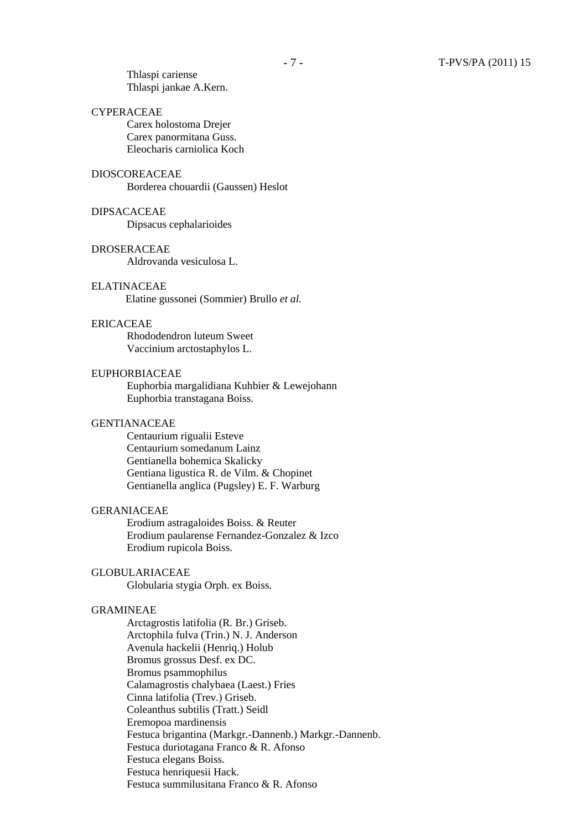Thlaspi cariense Thlaspi jankae A.Kern.

#### CYPERACEAE

Carex holostoma Drejer Carex panormitana Guss. Eleocharis carniolica Koch

### DIOSCOREACEAE

Borderea chouardii (Gaussen) Heslot

### DIPSACACEAE

Dipsacus cephalarioides

#### DROSERACEAE

Aldrovanda vesiculosa L.

### ELATINACEAE

Elatine gussonei (Sommier) Brullo *et al.*

#### ERICACEAE

Rhododendron luteum Sweet Vaccinium arctostaphylos L.

### EUPHORBIACEAE

Euphorbia margalidiana Kuhbier & Lewejohann Euphorbia transtagana Boiss.

#### GENTIANACEAE

Centaurium rigualii Esteve Centaurium somedanum Lainz Gentianella bohemica Skalicky Gentiana ligustica R. de Vilm. & Chopinet Gentianella anglica (Pugsley) E. F. Warburg

#### GERANIACEAE

Erodium astragaloides Boiss. & Reuter Erodium paularense Fernandez-Gonzalez & Izco Erodium rupicola Boiss.

### GLOBULARIACEAE

Globularia stygia Orph. ex Boiss.

### GRAMINEAE

Arctagrostis latifolia (R. Br.) Griseb. Arctophila fulva (Trin.) N. J. Anderson Avenula hackelii (Henriq.) Holub Bromus grossus Desf. ex DC. Bromus psammophilus Calamagrostis chalybaea (Laest.) Fries Cinna latifolia (Trev.) Griseb. Coleanthus subtilis (Tratt.) Seidl Eremopoa mardinensis Festuca brigantina (Markgr.-Dannenb.) Markgr.-Dannenb. Festuca duriotagana Franco & R. Afonso Festuca elegans Boiss. Festuca henriquesii Hack. Festuca summilusitana Franco & R. Afonso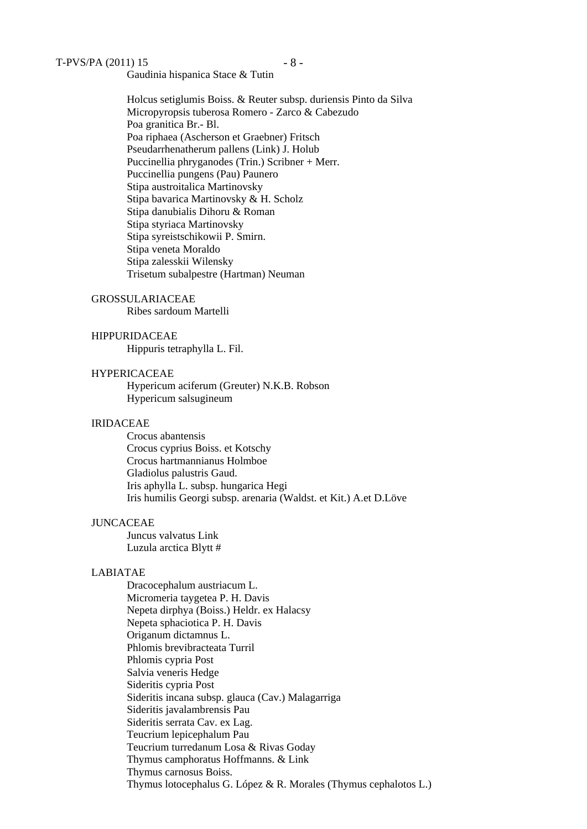Gaudinia hispanica Stace & Tutin

Holcus setiglumis Boiss. & Reuter subsp. duriensis Pinto da Silva Micropyropsis tuberosa Romero - Zarco & Cabezudo Poa granitica Br.- Bl. Poa riphaea (Ascherson et Graebner) Fritsch Pseudarrhenatherum pallens (Link) J. Holub Puccinellia phryganodes (Trin.) Scribner + Merr. Puccinellia pungens (Pau) Paunero Stipa austroitalica Martinovsky Stipa bavarica Martinovsky & H. Scholz Stipa danubialis Dihoru & Roman Stipa styriaca Martinovsky Stipa syreistschikowii P. Smirn. Stipa veneta Moraldo Stipa zalesskii Wilensky Trisetum subalpestre (Hartman) Neuman

### GROSSULARIACEAE

Ribes sardoum Martelli

#### HIPPURIDACEAE

Hippuris tetraphylla L. Fil.

### HYPERICACEAE

Hypericum aciferum (Greuter) N.K.B. Robson Hypericum salsugineum

#### IRIDACEAE

Crocus abantensis Crocus cyprius Boiss. et Kotschy Crocus hartmannianus Holmboe Gladiolus palustris Gaud. Iris aphylla L. subsp. hungarica Hegi Iris humilis Georgi subsp. arenaria (Waldst. et Kit.) A.et D.Löve

### JUNCACEAE

Juncus valvatus Link Luzula arctica Blytt #

#### LABIATAE

Dracocephalum austriacum L. Micromeria taygetea P. H. Davis Nepeta dirphya (Boiss.) Heldr. ex Halacsy Nepeta sphaciotica P. H. Davis Origanum dictamnus L. Phlomis brevibracteata Turril Phlomis cypria Post Salvia veneris Hedge Sideritis cypria Post Sideritis incana subsp. glauca (Cav.) Malagarriga Sideritis javalambrensis Pau Sideritis serrata Cav. ex Lag. Teucrium lepicephalum Pau Teucrium turredanum Losa & Rivas Goday Thymus camphoratus Hoffmanns. & Link Thymus carnosus Boiss. Thymus lotocephalus G. López & R. Morales (Thymus cephalotos L.)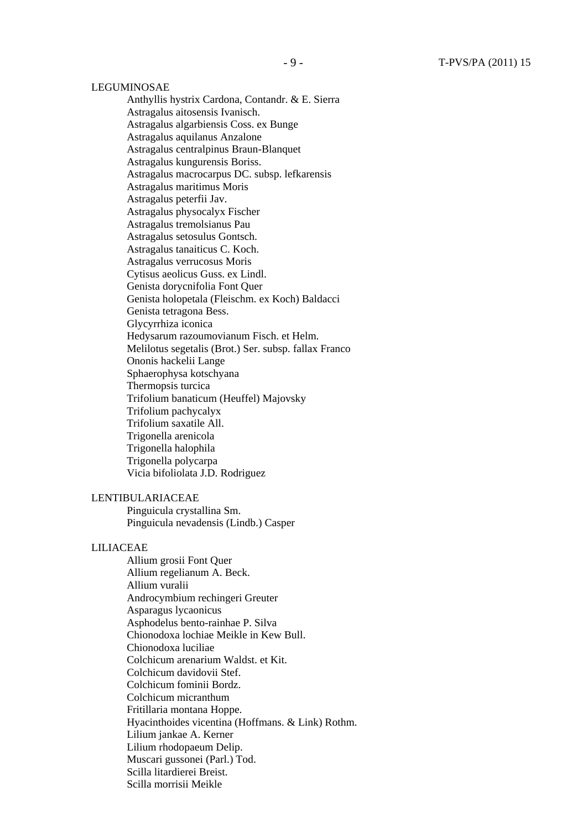#### LEGUMINOSAE

Anthyllis hystrix Cardona, Contandr. & E. Sierra Astragalus aitosensis Ivanisch. Astragalus algarbiensis Coss. ex Bunge Astragalus aquilanus Anzalone Astragalus centralpinus Braun-Blanquet Astragalus kungurensis Boriss. Astragalus macrocarpus DC. subsp. lefkarensis Astragalus maritimus Moris Astragalus peterfii Jav. Astragalus physocalyx Fischer Astragalus tremolsianus Pau Astragalus setosulus Gontsch. Astragalus tanaiticus C. Koch. Astragalus verrucosus Moris Cytisus aeolicus Guss. ex Lindl. Genista dorycnifolia Font Quer Genista holopetala (Fleischm. ex Koch) Baldacci Genista tetragona Bess. Glycyrrhiza iconica Hedysarum razoumovianum Fisch. et Helm. Melilotus segetalis (Brot.) Ser. subsp. fallax Franco Ononis hackelii Lange Sphaerophysa kotschyana Thermopsis turcica Trifolium banaticum (Heuffel) Majovsky Trifolium pachycalyx Trifolium saxatile All. Trigonella arenicola Trigonella halophila Trigonella polycarpa Vicia bifoliolata J.D. Rodriguez

#### LENTIBULARIACEAE

Pinguicula crystallina Sm. Pinguicula nevadensis (Lindb.) Casper

### LILIACEAE

Allium grosii Font Quer Allium regelianum A. Beck. Allium vuralii Androcymbium rechingeri Greuter Asparagus lycaonicus Asphodelus bento-rainhae P. Silva Chionodoxa lochiae Meikle in Kew Bull. Chionodoxa luciliae Colchicum arenarium Waldst. et Kit. Colchicum davidovii Stef. Colchicum fominii Bordz. Colchicum micranthum Fritillaria montana Hoppe. Hyacinthoides vicentina (Hoffmans. & Link) Rothm. Lilium jankae A. Kerner Lilium rhodopaeum Delip. Muscari gussonei (Parl.) Tod. Scilla litardierei Breist. Scilla morrisii Meikle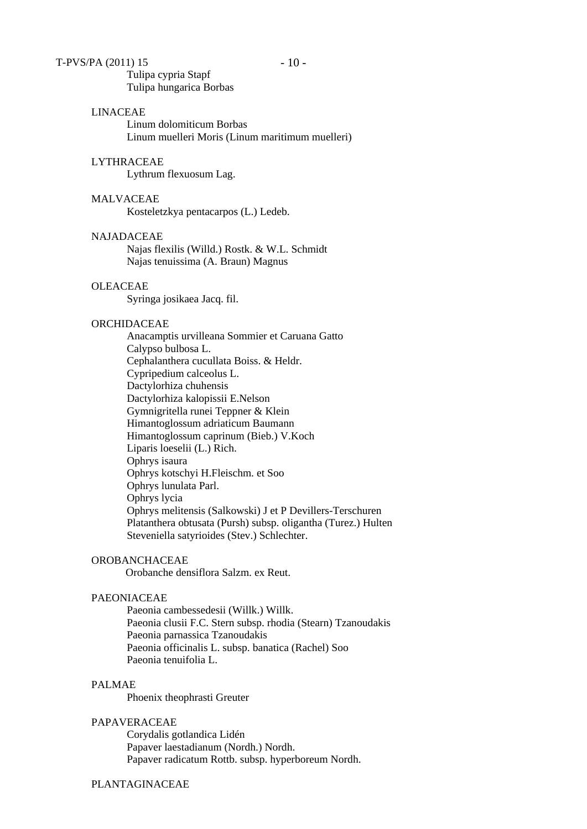Tulipa cypria Stapf Tulipa hungarica Borbas

### LINACEAE

Linum dolomiticum Borbas Linum muelleri Moris (Linum maritimum muelleri)

### LYTHRACEAE

Lythrum flexuosum Lag.

### MALVACEAE

Kosteletzkya pentacarpos (L.) Ledeb.

# NAJADACEAE

Najas flexilis (Willd.) Rostk. & W.L. Schmidt Najas tenuissima (A. Braun) Magnus

#### OLEACEAE

Syringa josikaea Jacq. fil.

#### ORCHIDACEAE

Anacamptis urvilleana Sommier et Caruana Gatto Calypso bulbosa L. Cephalanthera cucullata Boiss. & Heldr. Cypripedium calceolus L. Dactylorhiza chuhensis Dactylorhiza kalopissii E.Nelson Gymnigritella runei Teppner & Klein Himantoglossum adriaticum Baumann Himantoglossum caprinum (Bieb.) V.Koch Liparis loeselii (L.) Rich. Ophrys isaura Ophrys kotschyi H.Fleischm. et Soo Ophrys lunulata Parl. Ophrys lycia Ophrys melitensis (Salkowski) J et P Devillers-Terschuren Platanthera obtusata (Pursh) subsp. oligantha (Turez.) Hulten Steveniella satyrioides (Stev.) Schlechter.

### OROBANCHACEAE

Orobanche densiflora Salzm. ex Reut.

### PAEONIACEAE

Paeonia cambessedesii (Willk.) Willk. Paeonia clusii F.C. Stern subsp. rhodia (Stearn) Tzanoudakis Paeonia parnassica Tzanoudakis Paeonia officinalis L. subsp. banatica (Rachel) Soo Paeonia tenuifolia L.

### PALMAE

Phoenix theophrasti Greuter

#### PAPAVERACEAE

Corydalis gotlandica Lidén Papaver laestadianum (Nordh.) Nordh. Papaver radicatum Rottb. subsp. hyperboreum Nordh.

PLANTAGINACEAE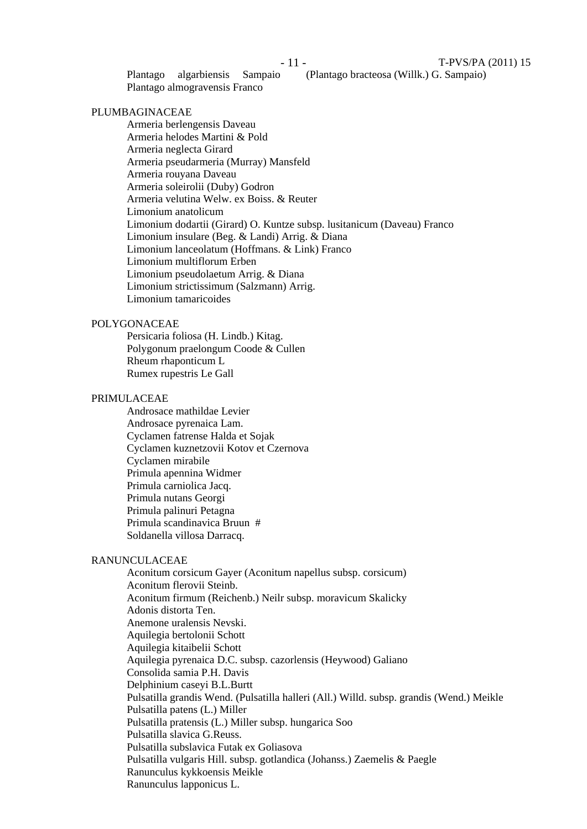Plantago algarbiensis Sampaio (Plantago bracteosa (Willk.) G. Sampaio) Plantago almogravensis Franco

### PLUMBAGINACEAE

Armeria berlengensis Daveau Armeria helodes Martini & Pold Armeria neglecta Girard Armeria pseudarmeria (Murray) Mansfeld Armeria rouyana Daveau Armeria soleirolii (Duby) Godron Armeria velutina Welw. ex Boiss. & Reuter Limonium anatolicum Limonium dodartii (Girard) O. Kuntze subsp. lusitanicum (Daveau) Franco Limonium insulare (Beg. & Landi) Arrig. & Diana Limonium lanceolatum (Hoffmans. & Link) Franco Limonium multiflorum Erben Limonium pseudolaetum Arrig. & Diana Limonium strictissimum (Salzmann) Arrig. Limonium tamaricoides

#### POLYGONACEAE

Persicaria foliosa (H. Lindb.) Kitag. Polygonum praelongum Coode & Cullen Rheum rhaponticum L Rumex rupestris Le Gall

### PRIMULACEAE

Androsace mathildae Levier Androsace pyrenaica Lam. Cyclamen fatrense Halda et Sojak Cyclamen kuznetzovii Kotov et Czernova Cyclamen mirabile Primula apennina Widmer Primula carniolica Jacq. Primula nutans Georgi Primula palinuri Petagna Primula scandinavica Bruun # Soldanella villosa Darracq.

#### RANUNCULACEAE

Aconitum corsicum Gayer (Aconitum napellus subsp. corsicum) Aconitum flerovii Steinb. Aconitum firmum (Reichenb.) Neilr subsp. moravicum Skalicky Adonis distorta Ten. Anemone uralensis Nevski. Aquilegia bertolonii Schott Aquilegia kitaibelii Schott Aquilegia pyrenaica D.C. subsp. cazorlensis (Heywood) Galiano Consolida samia P.H. Davis Delphinium caseyi B.L.Burtt Pulsatilla grandis Wend. (Pulsatilla halleri (All.) Willd. subsp. grandis (Wend.) Meikle Pulsatilla patens (L.) Miller Pulsatilla pratensis (L.) Miller subsp. hungarica Soo Pulsatilla slavica G.Reuss. Pulsatilla subslavica Futak ex Goliasova Pulsatilla vulgaris Hill. subsp. gotlandica (Johanss.) Zaemelis & Paegle Ranunculus kykkoensis Meikle Ranunculus lapponicus L.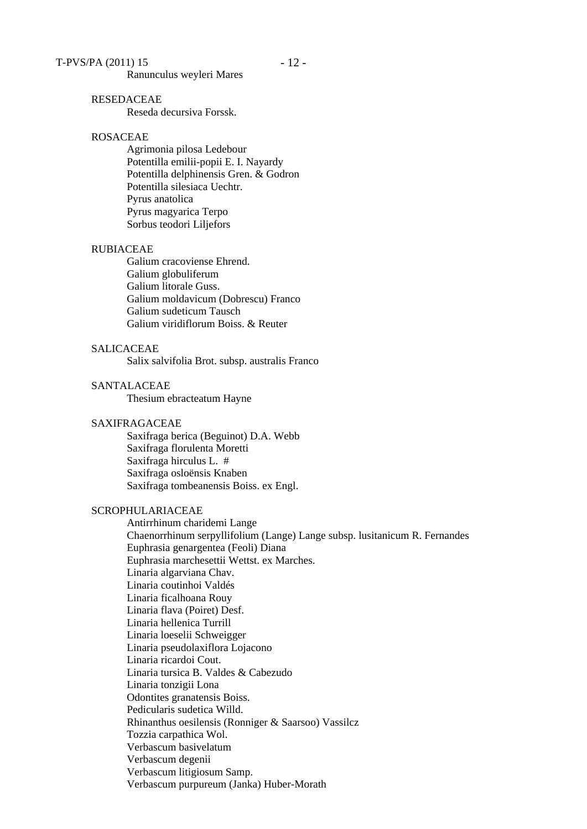Ranunculus weyleri Mares

#### RESEDACEAE

Reseda decursiva Forssk.

### ROSACEAE

Agrimonia pilosa Ledebour Potentilla emilii-popii E. I. Nayardy Potentilla delphinensis Gren. & Godron Potentilla silesiaca Uechtr. Pyrus anatolica Pyrus magyarica Terpo Sorbus teodori Liljefors

#### RUBIACEAE

Galium cracoviense Ehrend. Galium globuliferum Galium litorale Guss. Galium moldavicum (Dobrescu) Franco Galium sudeticum Tausch Galium viridiflorum Boiss. & Reuter

### SALICACEAE

Salix salvifolia Brot. subsp. australis Franco

### SANTALACEAE

Thesium ebracteatum Hayne

#### SAXIFRAGACEAE

Saxifraga berica (Beguinot) D.A. Webb Saxifraga florulenta Moretti Saxifraga hirculus L. # Saxifraga osloënsis Knaben Saxifraga tombeanensis Boiss. ex Engl.

#### SCROPHULARIACEAE

Antirrhinum charidemi Lange Chaenorrhinum serpyllifolium (Lange) Lange subsp. lusitanicum R. Fernandes Euphrasia genargentea (Feoli) Diana Euphrasia marchesettii Wettst. ex Marches. Linaria algarviana Chav. Linaria coutinhoi Valdés Linaria ficalhoana Rouy Linaria flava (Poiret) Desf. Linaria hellenica Turrill Linaria loeselii Schweigger Linaria pseudolaxiflora Lojacono Linaria ricardoi Cout. Linaria tursica B. Valdes & Cabezudo Linaria tonzigii Lona Odontites granatensis Boiss. Pedicularis sudetica Willd. Rhinanthus oesilensis (Ronniger & Saarsoo) Vassilcz Tozzia carpathica Wol. Verbascum basivelatum Verbascum degenii Verbascum litigiosum Samp. Verbascum purpureum (Janka) Huber-Morath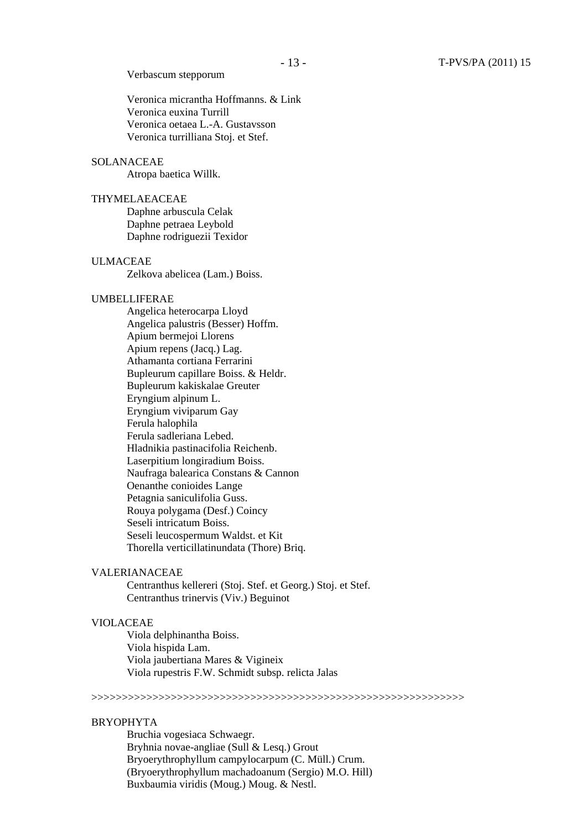#### Verbascum stepporum

Veronica micrantha Hoffmanns. & Link Veronica euxina Turrill Veronica oetaea L.-A. Gustavsson Veronica turrilliana Stoj. et Stef.

### SOLANACEAE

Atropa baetica Willk.

### THYMELAEACEAE

Daphne arbuscula Celak Daphne petraea Leybold Daphne rodriguezii Texidor

#### ULMACEAE

Zelkova abelicea (Lam.) Boiss.

### UMBELLIFERAE

Angelica heterocarpa Lloyd Angelica palustris (Besser) Hoffm. Apium bermejoi Llorens Apium repens (Jacq.) Lag. Athamanta cortiana Ferrarini Bupleurum capillare Boiss. & Heldr. Bupleurum kakiskalae Greuter Eryngium alpinum L. Eryngium viviparum Gay Ferula halophila Ferula sadleriana Lebed. Hladnikia pastinacifolia Reichenb. Laserpitium longiradium Boiss. Naufraga balearica Constans & Cannon Oenanthe conioides Lange Petagnia saniculifolia Guss. Rouya polygama (Desf.) Coincy Seseli intricatum Boiss. Seseli leucospermum Waldst. et Kit Thorella verticillatinundata (Thore) Briq.

#### VALERIANACEAE

Centranthus kellereri (Stoj. Stef. et Georg.) Stoj. et Stef. Centranthus trinervis (Viv.) Beguinot

### VIOLACEAE

Viola delphinantha Boiss. Viola hispida Lam. Viola jaubertiana Mares & Vigineix Viola rupestris F.W. Schmidt subsp. relicta Jalas

# >>>>>>>>>>>>>>>>>>>>>>>>>>>>>>>>>>>>>>>>>>>>>>>>>>>>>>>>>>>>>

#### BRYOPHYTA

Bruchia vogesiaca Schwaegr. Bryhnia novae-angliae (Sull & Lesq.) Grout Bryoerythrophyllum campylocarpum (C. Müll.) Crum. (Bryoerythrophyllum machadoanum (Sergio) M.O. Hill) Buxbaumia viridis (Moug.) Moug. & Nestl.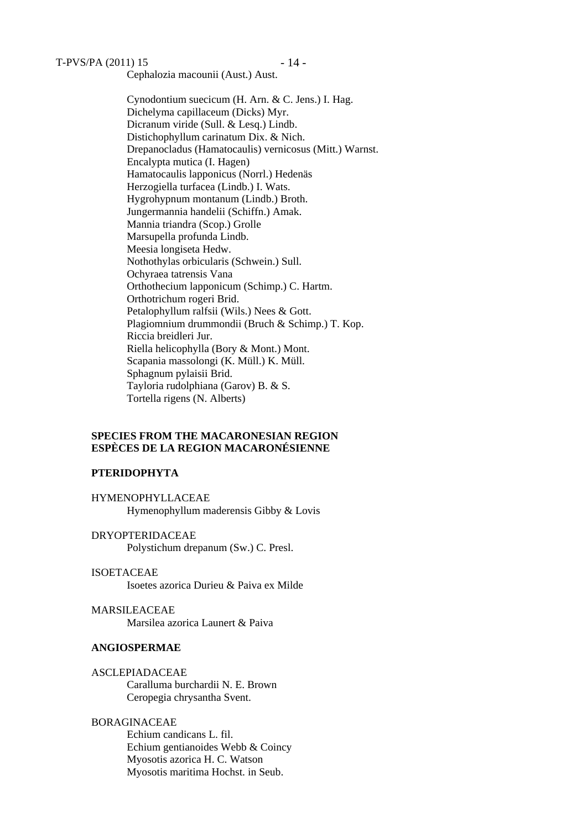$T-PV S/PA (2011) 15 - 14 -$ 

Cephalozia macounii (Aust.) Aust.

Cynodontium suecicum (H. Arn. & C. Jens.) I. Hag. Dichelyma capillaceum (Dicks) Myr. Dicranum viride (Sull. & Lesq.) Lindb. Distichophyllum carinatum Dix. & Nich. Drepanocladus (Hamatocaulis) vernicosus (Mitt.) Warnst. Encalypta mutica (I. Hagen) Hamatocaulis lapponicus (Norrl.) Hedenäs Herzogiella turfacea (Lindb.) I. Wats. Hygrohypnum montanum (Lindb.) Broth. Jungermannia handelii (Schiffn.) Amak. Mannia triandra (Scop.) Grolle Marsupella profunda Lindb. Meesia longiseta Hedw. Nothothylas orbicularis (Schwein.) Sull. Ochyraea tatrensis Vana Orthothecium lapponicum (Schimp.) C. Hartm. Orthotrichum rogeri Brid. Petalophyllum ralfsii (Wils.) Nees & Gott. Plagiomnium drummondii (Bruch & Schimp.) T. Kop. Riccia breidleri Jur. Riella helicophylla (Bory & Mont.) Mont. Scapania massolongi (K. Müll.) K. Müll. Sphagnum pylaisii Brid. Tayloria rudolphiana (Garov) B. & S. Tortella rigens (N. Alberts)

### **SPECIES FROM THE MACARONESIAN REGION ESPÈCES DE LA REGION MACARONÉSIENNE**

### **PTERIDOPHYTA**

HYMENOPHYLLACEAE Hymenophyllum maderensis Gibby & Lovis

DRYOPTERIDACEAE Polystichum drepanum (Sw.) C. Presl.

ISOETACEAE Isoetes azorica Durieu & Paiva ex Milde

MARSILEACEAE Marsilea azorica Launert & Paiva

### **ANGIOSPERMAE**

ASCLEPIADACEAE Caralluma burchardii N. E. Brown Ceropegia chrysantha Svent.

### BORAGINACEAE

Echium candicans L. fil. Echium gentianoides Webb & Coincy Myosotis azorica H. C. Watson Myosotis maritima Hochst. in Seub.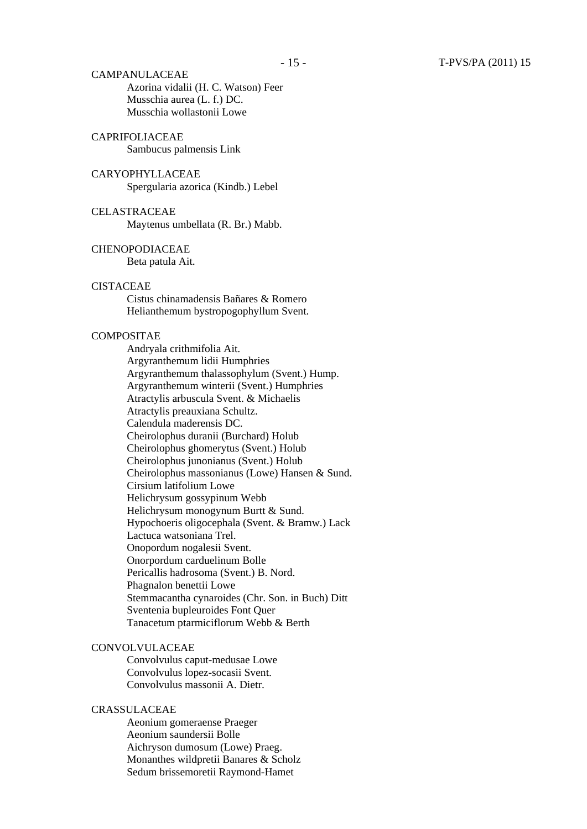CAMPANULACEAE Azorina vidalii (H. C. Watson) Feer Musschia aurea (L. f.) DC. Musschia wollastonii Lowe

### CAPRIFOLIACEAE

Sambucus palmensis Link

# CARYOPHYLLACEAE

Spergularia azorica (Kindb.) Lebel

CELASTRACEAE Maytenus umbellata (R. Br.) Mabb.

#### CHENOPODIACEAE

Beta patula Ait.

### **CISTACEAE**

Cistus chinamadensis Bañares & Romero Helianthemum bystropogophyllum Svent.

#### **COMPOSITAE**

Andryala crithmifolia Ait. Argyranthemum lidii Humphries Argyranthemum thalassophylum (Svent.) Hump. Argyranthemum winterii (Svent.) Humphries Atractylis arbuscula Svent. & Michaelis Atractylis preauxiana Schultz. Calendula maderensis DC. Cheirolophus duranii (Burchard) Holub Cheirolophus ghomerytus (Svent.) Holub Cheirolophus junonianus (Svent.) Holub Cheirolophus massonianus (Lowe) Hansen & Sund. Cirsium latifolium Lowe Helichrysum gossypinum Webb Helichrysum monogynum Burtt & Sund. Hypochoeris oligocephala (Svent. & Bramw.) Lack Lactuca watsoniana Trel. Onopordum nogalesii Svent. Onorpordum carduelinum Bolle Pericallis hadrosoma (Svent.) B. Nord. Phagnalon benettii Lowe Stemmacantha cynaroides (Chr. Son. in Buch) Ditt Sventenia bupleuroides Font Quer Tanacetum ptarmiciflorum Webb & Berth

### **CONVOLVULACEAE**

Convolvulus caput-medusae Lowe Convolvulus lopez-socasii Svent. Convolvulus massonii A. Dietr.

#### CRASSULACEAE

Aeonium gomeraense Praeger Aeonium saundersii Bolle Aichryson dumosum (Lowe) Praeg. Monanthes wildpretii Banares & Scholz Sedum brissemoretii Raymond-Hamet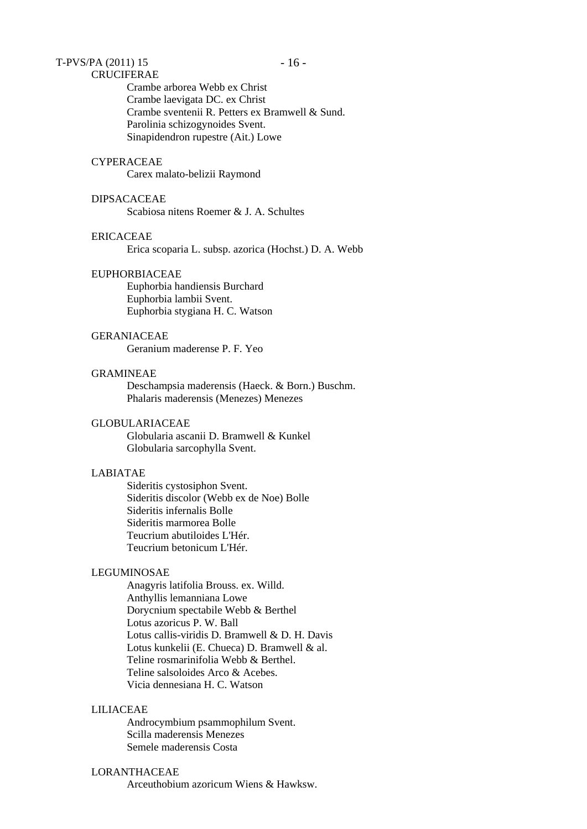# $T-PV S/PA (2011) 15 - 16 -$

### CRUCIFERAE

Crambe arborea Webb ex Christ Crambe laevigata DC. ex Christ Crambe sventenii R. Petters ex Bramwell & Sund. Parolinia schizogynoides Svent. Sinapidendron rupestre (Ait.) Lowe

### **CYPERACEAE**

Carex malato-belizii Raymond

### DIPSACACEAE

Scabiosa nitens Roemer & J. A. Schultes

### ERICACEAE

Erica scoparia L. subsp. azorica (Hochst.) D. A. Webb

#### EUPHORBIACEAE

Euphorbia handiensis Burchard Euphorbia lambii Svent. Euphorbia stygiana H. C. Watson

### GERANIACEAE

Geranium maderense P. F. Yeo

### GRAMINEAE

Deschampsia maderensis (Haeck. & Born.) Buschm. Phalaris maderensis (Menezes) Menezes

#### GLOBULARIACEAE

Globularia ascanii D. Bramwell & Kunkel Globularia sarcophylla Svent.

### LABIATAE

Sideritis cystosiphon Svent. Sideritis discolor (Webb ex de Noe) Bolle Sideritis infernalis Bolle Sideritis marmorea Bolle Teucrium abutiloides L'Hér. Teucrium betonicum L'Hér.

#### LEGUMINOSAE

Anagyris latifolia Brouss. ex. Willd. Anthyllis lemanniana Lowe Dorycnium spectabile Webb & Berthel Lotus azoricus P. W. Ball Lotus callis-viridis D. Bramwell & D. H. Davis Lotus kunkelii (E. Chueca) D. Bramwell & al. Teline rosmarinifolia Webb & Berthel. Teline salsoloides Arco & Acebes. Vicia dennesiana H. C. Watson

#### LILIACEAE

Androcymbium psammophilum Svent. Scilla maderensis Menezes Semele maderensis Costa

### LORANTHACEAE

Arceuthobium azoricum Wiens & Hawksw.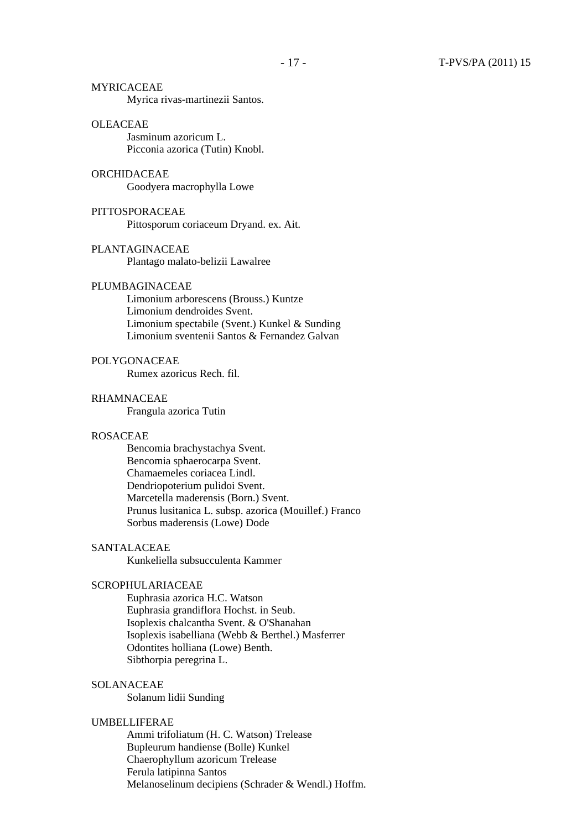MYRICACEAE Myrica rivas-martinezii Santos.

#### OLEACEAE

Jasminum azoricum L. Picconia azorica (Tutin) Knobl.

### ORCHIDACEAE

Goodyera macrophylla Lowe

#### PITTOSPORACEAE Pittosporum coriaceum Dryand. ex. Ait.

### PLANTAGINACEAE

Plantago malato-belizii Lawalree

### PLUMBAGINACEAE

Limonium arborescens (Brouss.) Kuntze Limonium dendroides Svent. Limonium spectabile (Svent.) Kunkel & Sunding Limonium sventenii Santos & Fernandez Galvan

### POLYGONACEAE

Rumex azoricus Rech. fil.

### RHAMNACEAE

Frangula azorica Tutin

### ROSACEAE

Bencomia brachystachya Svent. Bencomia sphaerocarpa Svent. Chamaemeles coriacea Lindl. Dendriopoterium pulidoi Svent. Marcetella maderensis (Born.) Svent. Prunus lusitanica L. subsp. azorica (Mouillef.) Franco Sorbus maderensis (Lowe) Dode

### SANTALACEAE

Kunkeliella subsucculenta Kammer

### SCROPHULARIACEAE

Euphrasia azorica H.C. Watson Euphrasia grandiflora Hochst. in Seub. Isoplexis chalcantha Svent. & O'Shanahan Isoplexis isabelliana (Webb & Berthel.) Masferrer Odontites holliana (Lowe) Benth. Sibthorpia peregrina L.

### SOLANACEAE

Solanum lidii Sunding

#### UMBELLIFERAE

Ammi trifoliatum (H. C. Watson) Trelease Bupleurum handiense (Bolle) Kunkel Chaerophyllum azoricum Trelease Ferula latipinna Santos Melanoselinum decipiens (Schrader & Wendl.) Hoffm.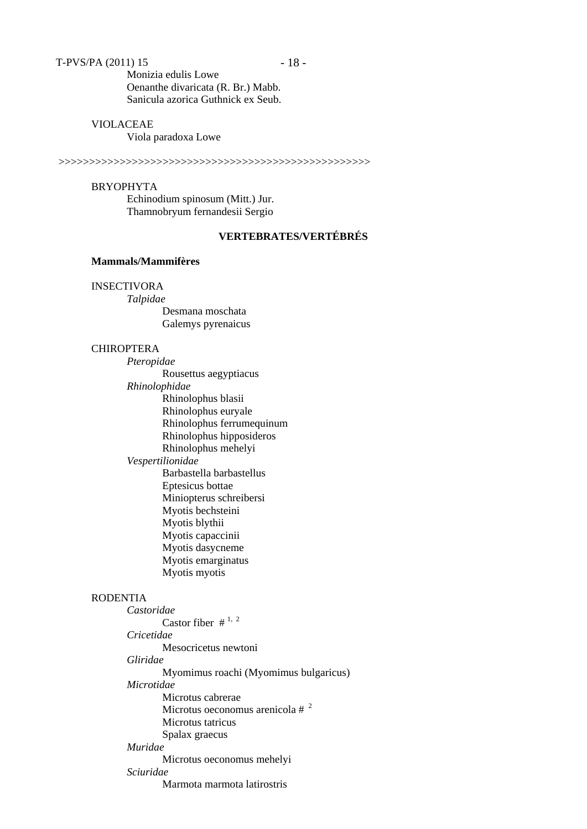Monizia edulis Lowe Oenanthe divaricata (R. Br.) Mabb. Sanicula azorica Guthnick ex Seub.

#### VIOLACEAE

Viola paradoxa Lowe

>>>>>>>>>>>>>>>>>>>>>>>>>>>>>>>>>>>>>>>>>>>>>>>>>>>

#### BRYOPHYTA

Echinodium spinosum (Mitt.) Jur. Thamnobryum fernandesii Sergio

# **VERTEBRATES/VERTÉBRÉS**

### **Mammals/Mammifères**

### INSECTIVORA

*Talpidae*  Desmana moschata Galemys pyrenaicus

#### CHIROPTERA

- *Pteropidae* Rousettus aegyptiacus *Rhinolophidae*  Rhinolophus blasii Rhinolophus euryale Rhinolophus ferrumequinum Rhinolophus hipposideros Rhinolophus mehelyi *Vespertilionidae*  Barbastella barbastellus Eptesicus bottae Miniopterus schreibersi Myotis bechsteini
	- Myotis blythii
	- Myotis capaccinii
	- Myotis dasycneme Myotis emarginatus
	- Myotis myotis

### RODENTIA

*Castoridae*  Castor fiber  $\#^{1,2}$ *Cricetidae*  Mesocricetus newtoni *Gliridae* Myomimus roachi (Myomimus bulgaricus) *Microtidae*  Microtus cabrerae Microtus oeconomus arenicola # <sup>2</sup> Microtus tatricus Spalax graecus *Muridae*  Microtus oeconomus mehelyi *Sciuridae*  Marmota marmota latirostris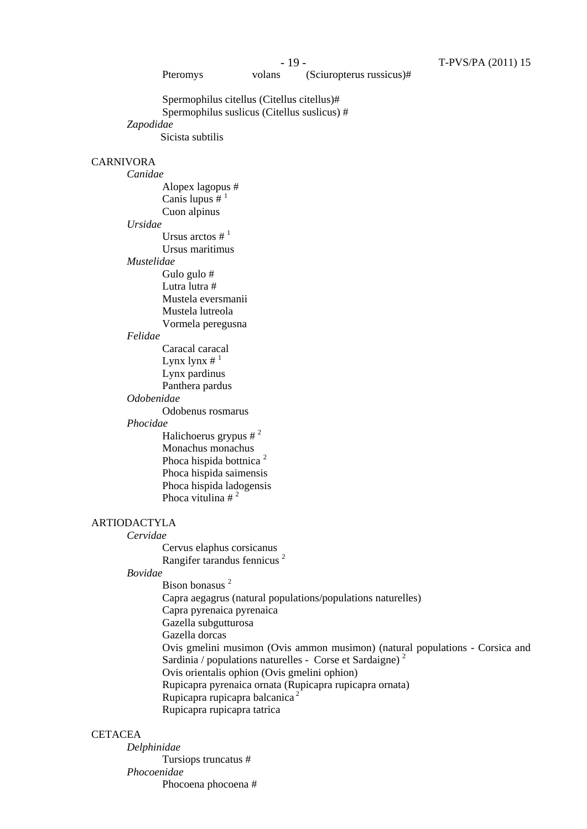Pteromys volans (Sciuropterus russicus)#

Spermophilus citellus (Citellus citellus)# Spermophilus suslicus (Citellus suslicus) # *Zapodidae*  Sicista subtilis

### CARNIVORA

*Canidae* Alopex lagopus # Canis lupus  $#^1$ Cuon alpinus *Ursidae* Ursus arctos  $\#$ <sup>1</sup> Ursus maritimus *Mustelidae* Gulo gulo # Lutra lutra # Mustela eversmanii Mustela lutreola Vormela peregusna

### *Felidae*

Caracal caracal Lynx lynx  $\#$ <sup>1</sup> Lynx pardinus Panthera pardus

#### *Odobenidae*

Odobenus rosmarus

#### *Phocidae*

Halichoerus grypus  $\#^2$ Monachus monachus Phoca hispida bottnica <sup>2</sup> Phoca hispida saimensis Phoca hispida ladogensis Phoca vitulina  $\#^2$ 

### ARTIODACTYLA

*Cervidae*

Cervus elaphus corsicanus Rangifer tarandus fennicus<sup>2</sup>

### *Bovidae*

Bison bonasus<sup>2</sup> Capra aegagrus (natural populations/populations naturelles) Capra pyrenaica pyrenaica Gazella subgutturosa Gazella dorcas Ovis gmelini musimon (Ovis ammon musimon) (natural populations - Corsica and Sardinia / populations naturelles - Corse et Sardaigne)<sup>2</sup> Ovis orientalis ophion (Ovis gmelini ophion) Rupicapra pyrenaica ornata (Rupicapra rupicapra ornata) Rupicapra rupicapra balcanica<sup>2</sup> Rupicapra rupicapra tatrica

### **CETACEA**

*Delphinidae* Tursiops truncatus # *Phocoenidae* Phocoena phocoena #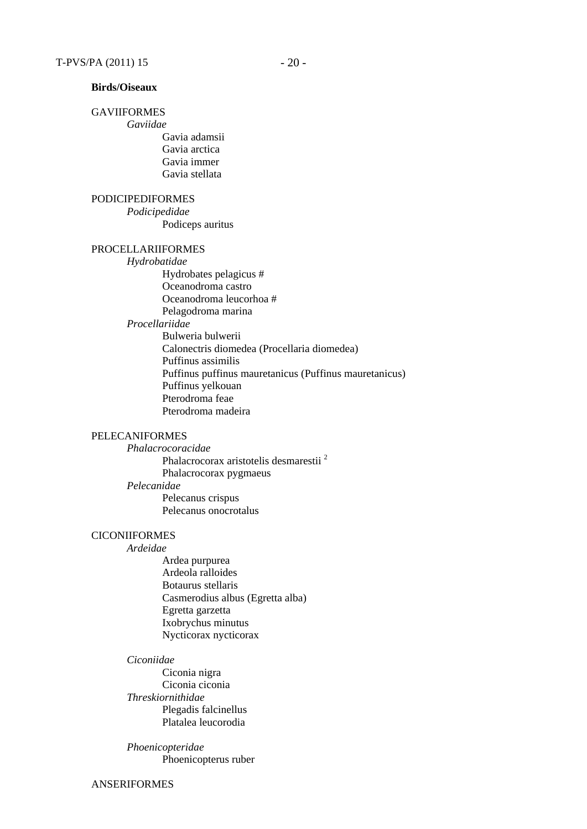### **Birds/Oiseaux**

### GAVIIFORMES

*Gaviidae*

Gavia adamsii Gavia arctica Gavia immer Gavia stellata

### PODICIPEDIFORMES

*Podicipedidae* Podiceps auritus

#### PROCELLARIIFORMES

*Hydrobatidae* Hydrobates pelagicus # Oceanodroma castro Oceanodroma leucorhoa # Pelagodroma marina *Procellariidae* Bulweria bulwerii Calonectris diomedea (Procellaria diomedea) Puffinus assimilis Puffinus puffinus mauretanicus (Puffinus mauretanicus) Puffinus yelkouan Pterodroma feae Pterodroma madeira

### PELECANIFORMES

*Phalacrocoracidae* Phalacrocorax aristotelis desmarestii 2 Phalacrocorax pygmaeus *Pelecanidae* Pelecanus crispus Pelecanus onocrotalus

#### **CICONIIFORMES**

*Ardeidae* 

Ardea purpurea Ardeola ralloides Botaurus stellaris Casmerodius albus (Egretta alba) Egretta garzetta Ixobrychus minutus Nycticorax nycticorax

#### *Ciconiidae*

Ciconia nigra Ciconia ciconia *Threskiornithidae* Plegadis falcinellus Platalea leucorodia

*Phoenicopteridae* Phoenicopterus ruber

ANSERIFORMES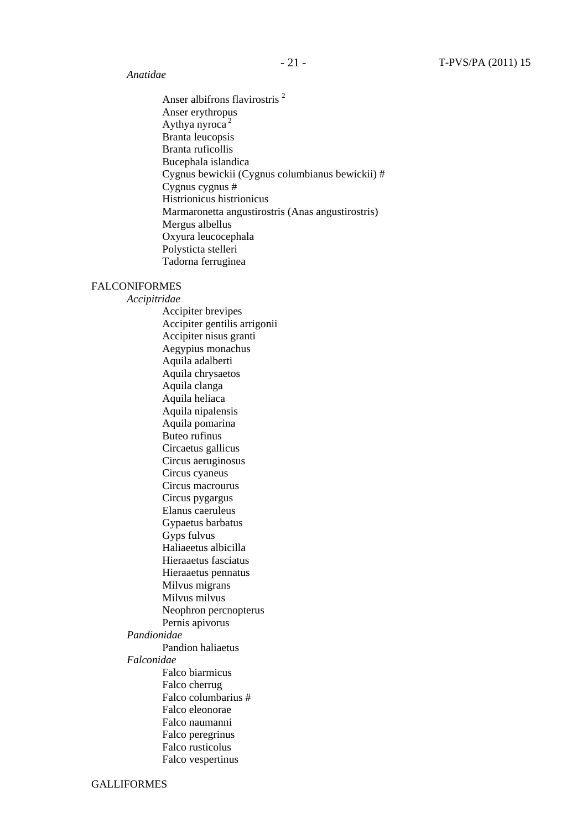### *Anatidae*

Anser albifrons flavirostris<sup>2</sup> Anser erythropus Aythya nyroca $2$ Branta leucopsis Branta ruficollis Bucephala islandica Cygnus bewickii (Cygnus columbianus bewickii) # Cygnus cygnus # Histrionicus histrionicus Marmaronetta angustirostris (Anas angustirostris) Mergus albellus Oxyura leucocephala Polysticta stelleri Tadorna ferruginea

### FALCONIFORMES

*Accipitridae*  Accipiter brevipes Accipiter gentilis arrigonii Accipiter nisus granti Aegypius monachus Aquila adalberti Aquila chrysaetos Aquila clanga Aquila heliaca Aquila nipalensis Aquila pomarina Buteo rufinus Circaetus gallicus Circus aeruginosus Circus cyaneus Circus macrourus Circus pygargus Elanus caeruleus Gypaetus barbatus Gyps fulvus Haliaeetus albicilla Hieraaetus fasciatus Hieraaetus pennatus Milvus migrans Milvus milvus Neophron percnopterus Pernis apivorus *Pandionidae*  Pandion haliaetus *Falconidae*  Falco biarmicus Falco cherrug Falco columbarius # Falco eleonorae Falco naumanni Falco peregrinus Falco rusticolus Falco vespertinus

GALLIFORMES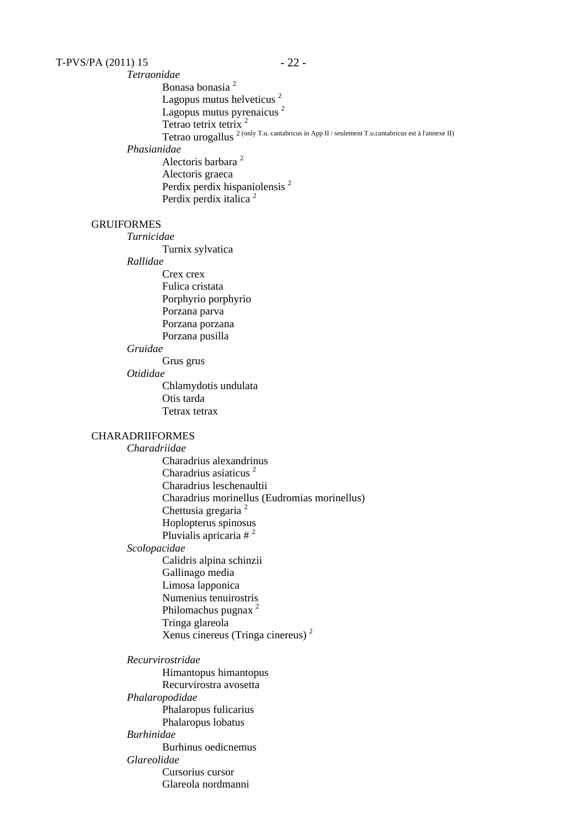### $T-PV S/PA (2011) 15 - 22 - 12 = 0$

*Tetraonidae* Bonasa bonasia <sup>2</sup> Lagopus mutus helveticus<sup>2</sup> Lagopus mutus pyrenaicus<sup>2</sup> Tetrao tetrix tetrix  $2\frac{1}{2}$ Tetrao urogallus 2 (only T.u. cantabricus in App II / seulement T.u.cantabricus est à l'annexe II) *Phasianidae* Alectoris barbara 2

Alectoris graeca Perdix perdix hispaniolensis<sup>2</sup> Perdix perdix italica<sup>2</sup>

### GRUIFORMES

*Turnicidae*

Turnix sylvatica

### *Rallidae*

Crex crex Fulica cristata Porphyrio porphyrio Porzana parva Porzana porzana Porzana pusilla

#### *Gruidae*

Grus grus

# *Otididae*

Chlamydotis undulata Otis tarda Tetrax tetrax

### CHARADRIIFORMES

*Charadriidae* 

Charadrius alexandrinus Charadrius asiaticus <sup>2</sup> Charadrius leschenaultii Charadrius morinellus (Eudromias morinellus) Chettusia gregaria<sup>2</sup> Hoplopterus spinosus Pluvialis apricaria  $\#^2$ 

#### *Scolopacidae*

Calidris alpina schinzii Gallinago media Limosa lapponica Numenius tenuirostris Philomachus pugnax 2 Tringa glareola Xenus cinereus (Tringa cinereus) 2

*Recurvirostridae* Himantopus himantopus Recurvirostra avosetta *Phalaropodidae* Phalaropus fulicarius Phalaropus lobatus *Burhinidae* Burhinus oedicnemus *Glareolidae* Cursorius cursor Glareola nordmanni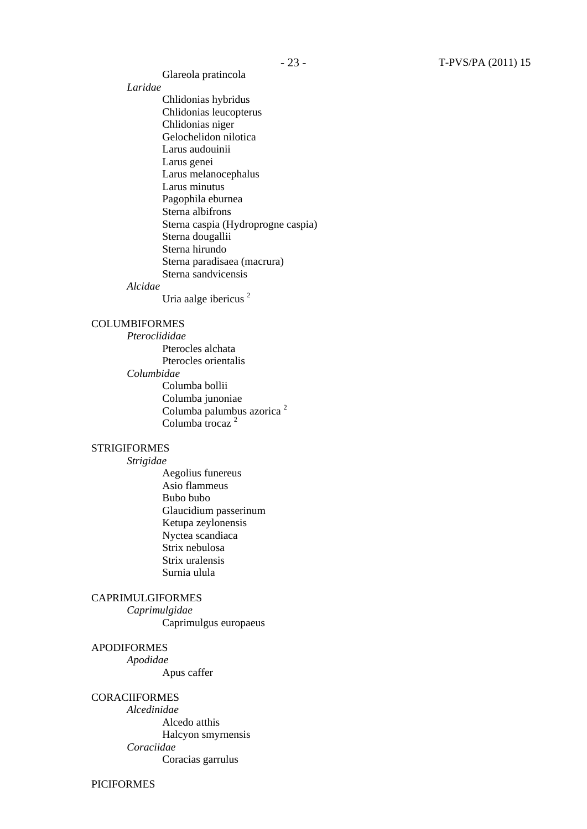Glareola pratincola

*Laridae*

Chlidonias hybridus Chlidonias leucopterus Chlidonias niger Gelochelidon nilotica Larus audouinii Larus genei Larus melanocephalus Larus minutus Pagophila eburnea Sterna albifrons Sterna caspia (Hydroprogne caspia) Sterna dougallii Sterna hirundo Sterna paradisaea (macrura) Sterna sandvicensis

#### *Alcidae*

Uria aalge ibericus 2

### COLUMBIFORMES

*Pteroclididae* Pterocles alchata Pterocles orientalis *Columbidae* Columba bollii Columba junoniae Columba palumbus azorica <sup>2</sup> Columba trocaz<sup>2</sup>

#### **STRIGIFORMES**

*Strigidae* 

Aegolius funereus Asio flammeus Bubo bubo Glaucidium passerinum Ketupa zeylonensis Nyctea scandiaca Strix nebulosa Strix uralensis Surnia ulula

# CAPRIMULGIFORMES

*Caprimulgidae* Caprimulgus europaeus

#### APODIFORMES

*Apodidae*

Apus caffer

#### **CORACIIFORMES**

*Alcedinidae* Alcedo atthis Halcyon smyrnensis *Coraciidae* Coracias garrulus

PICIFORMES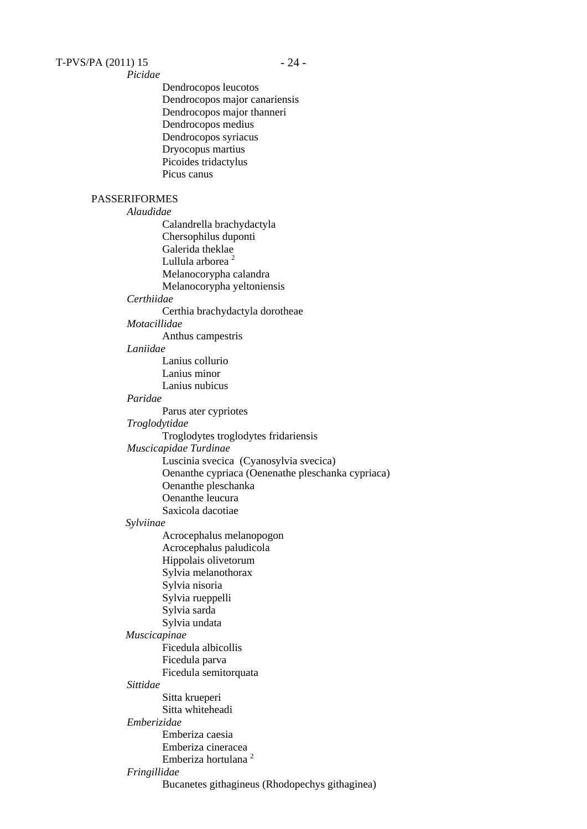*Picidae* Dendrocopos leucotos Dendrocopos major canariensis Dendrocopos major thanneri Dendrocopos medius Dendrocopos syriacus Dryocopus martius Picoides tridactylus Picus canus PASSERIFORMES *Alaudidae* Calandrella brachydactyla Chersophilus duponti Galerida theklae Lullula arborea<sup>2</sup> Melanocorypha calandra Melanocorypha yeltoniensis *Certhiidae*  Certhia brachydactyla dorotheae *Motacillidae* Anthus campestris *Laniidae* Lanius collurio Lanius minor Lanius nubicus *Paridae*  Parus ater cypriotes *Troglodytidae* Troglodytes troglodytes fridariensis *Muscicapidae Turdinae* Luscinia svecica (Cyanosylvia svecica) Oenanthe cypriaca (Oenenathe pleschanka cypriaca) Oenanthe pleschanka Oenanthe leucura Saxicola dacotiae *Sylviinae* Acrocephalus melanopogon Acrocephalus paludicola Hippolais olivetorum Sylvia melanothorax Sylvia nisoria Sylvia rueppelli Sylvia sarda Sylvia undata *Muscicapinae* Ficedula albicollis Ficedula parva Ficedula semitorquata *Sittidae* Sitta krueperi Sitta whiteheadi *Emberizidae* Emberiza caesia Emberiza cineracea Emberiza hortulana 2 *Fringillidae* Bucanetes githagineus (Rhodopechys githaginea)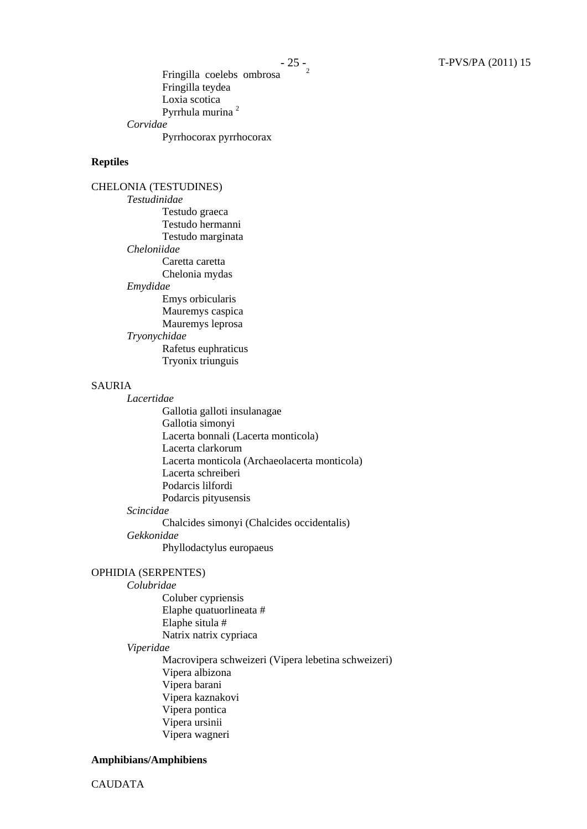#### **Reptiles**

CHELONIA (TESTUDINES) *Testudinidae*  Testudo graeca Testudo hermanni Testudo marginata *Cheloniidae*  Caretta caretta Chelonia mydas *Emydidae*  Emys orbicularis Mauremys caspica Mauremys leprosa *Tryonychidae* Rafetus euphraticus Tryonix triunguis

### SAURIA

*Lacertidae*  Gallotia galloti insulanagae Gallotia simonyi Lacerta bonnali (Lacerta monticola) Lacerta clarkorum Lacerta monticola (Archaeolacerta monticola) Lacerta schreiberi Podarcis lilfordi Podarcis pityusensis *Scincidae*  Chalcides simonyi (Chalcides occidentalis)

#### *Gekkonidae*

Phyllodactylus europaeus

### OPHIDIA (SERPENTES)

#### *Colubridae*

Coluber cypriensis Elaphe quatuorlineata # Elaphe situla # Natrix natrix cypriaca *Viperidae*  Macrovipera schweizeri (Vipera lebetina schweizeri) Vipera albizona Vipera barani Vipera kaznakovi Vipera pontica Vipera ursinii Vipera wagneri

#### **Amphibians/Amphibiens**

CAUDATA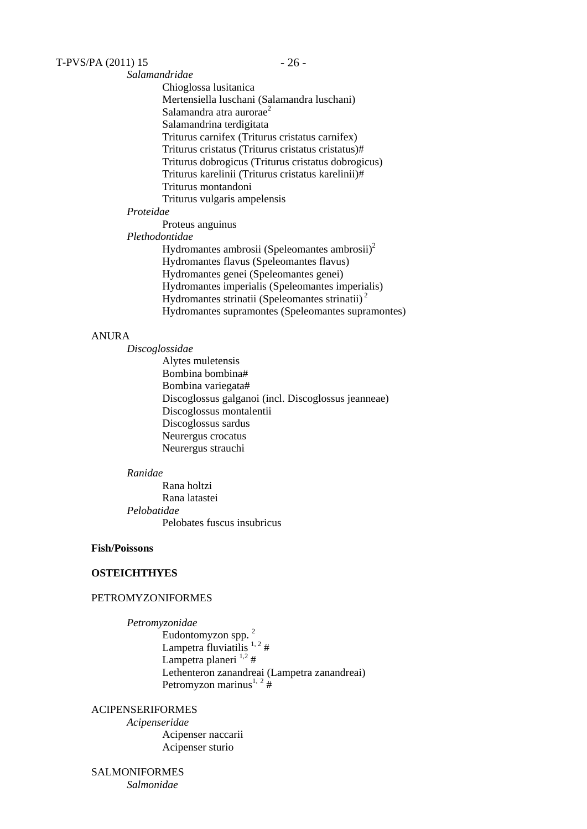*Salamandridae*  Chioglossa lusitanica Mertensiella luschani (Salamandra luschani) Salamandra atra aurorae<sup>2</sup> Salamandrina terdigitata Triturus carnifex (Triturus cristatus carnifex) Triturus cristatus (Triturus cristatus cristatus)# Triturus dobrogicus (Triturus cristatus dobrogicus) Triturus karelinii (Triturus cristatus karelinii)# Triturus montandoni Triturus vulgaris ampelensis

### *Proteidae*

Proteus anguinus

*Plethodontidae*

Hydromantes ambrosii (Speleomantes ambrosii)<sup>2</sup> Hydromantes flavus (Speleomantes flavus) Hydromantes genei (Speleomantes genei) Hydromantes imperialis (Speleomantes imperialis) Hydromantes strinatii (Speleomantes strinatii) 2 Hydromantes supramontes (Speleomantes supramontes)

### ANURA

*Discoglossidae* 

Alytes muletensis Bombina bombina# Bombina variegata# Discoglossus galganoi (incl. Discoglossus jeanneae) Discoglossus montalentii Discoglossus sardus Neurergus crocatus Neurergus strauchi

### *Ranidae*

Rana holtzi Rana latastei *Pelobatidae*  Pelobates fuscus insubricus

### **Fish/Poissons**

#### **OSTEICHTHYES**

### PETROMYZONIFORMES

*Petromyzonidae*  Eudontomyzon spp. <sup>2</sup> Lampetra fluviatilis  $1, 2 \#$ Lampetra planeri  $1,2$ # Lethenteron zanandreai (Lampetra zanandreai) Petromyzon marinus<sup>1, 2</sup>#

### ACIPENSERIFORMES

*Acipenseridae*  Acipenser naccarii Acipenser sturio

#### SALMONIFORMES *Salmonidae*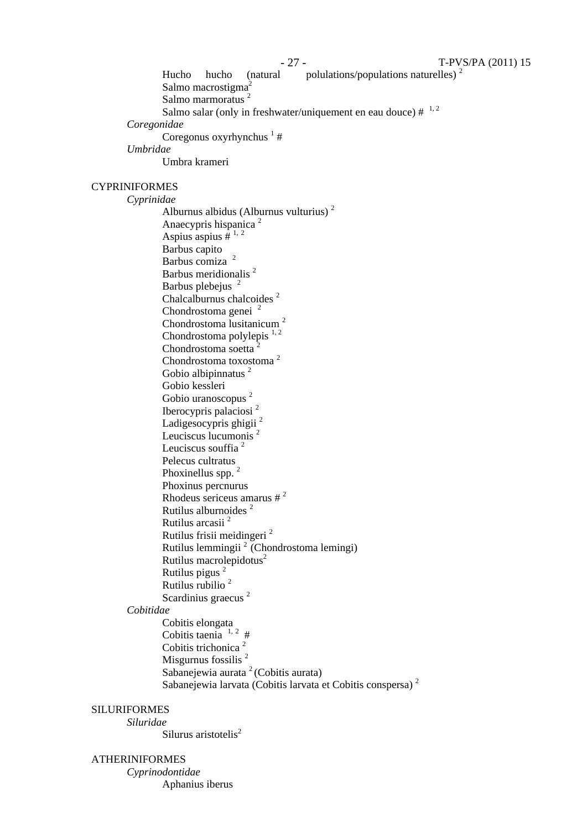Hucho hucho (natural polulations/populations naturelles)  $2^2$ Salmo macrostigma<sup>2</sup> Salmo marmoratus<sup>2</sup> Salmo salar (only in freshwater/uniquement en eau douce)  $\#$ <sup>1, 2</sup> *Coregonidae* Coregonus oxyrhynchus  $\frac{1}{1}$ # *Umbridae* Umbra krameri CYPRINIFORMES *Cyprinidae* Alburnus albidus (Alburnus vulturius) 2 Anaecypris hispanica <sup>2</sup> Aspius aspius  $\hat{H}^{1,2}$ Barbus capito Barbus comiza<sup>2</sup> Barbus meridionalis 2 Barbus plebejus<sup>2</sup> Chalcalburnus chalcoides<sup>2</sup> Chondrostoma genei <sup>2</sup> Chondrostoma lusitanicum <sup>2</sup> Chondrostoma polylepis  $1, 2$ Chondrostoma soetta<sup>2</sup> Chondrostoma toxostoma <sup>2</sup> Gobio albipinnatus<sup>2</sup> Gobio kessleri Gobio uranoscopus<sup>2</sup> Iberocypris palaciosi 2 Ladigesocypris ghigii<sup>2</sup> Leuciscus lucumonis<sup>2</sup> Leuciscus souffia<sup>2</sup> Pelecus cultratus Phoxinellus spp.<sup>2</sup> Phoxinus percnurus Rhodeus sericeus amarus  $\#^2$ Rutilus alburnoides <sup>2</sup> Rutilus arcasii <sup>2</sup> Rutilus frisii meidingeri <sup>2</sup> Rutilus lemmingii 2 (Chondrostoma lemingi) Rutilus macrolepidotus<sup>2</sup> Rutilus pigus 2 Rutilus rubilio <sup>2</sup> Scardinius graecus<sup>2</sup> *Cobitidae* Cobitis elongata Cobitis taenia  $1, 2$ # Cobitis trichonica<sup>2</sup> Misgurnus fossilis<sup>2</sup> Sabanejewia aurata  $2$  (Cobitis aurata) Sabanejewia larvata (Cobitis larvata et Cobitis conspersa)<sup>2</sup> SILURIFORMES *Siluridae*  Silurus aristotelis<sup>2</sup> ATHERINIFORMES *Cyprinodontidae*  Aphanius iberus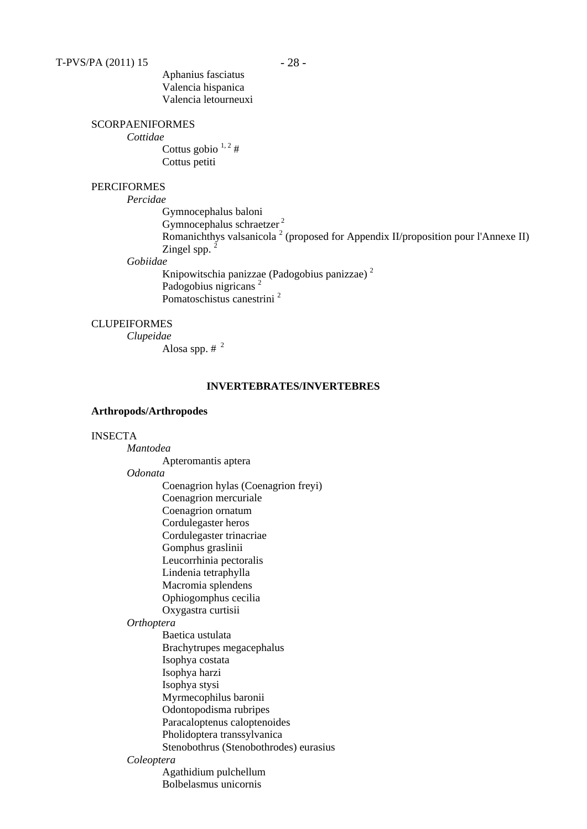Aphanius fasciatus Valencia hispanica Valencia letourneuxi

### SCORPAENIFORMES

*Cottidae*

Cottus gobio  $1, 2 \#$ Cottus petiti

### PERCIFORMES

*Percidae*

Gymnocephalus baloni Gymnocephalus schraetzer<sup>2</sup> Romanichthys valsanicola<sup>2</sup> (proposed for Appendix II/proposition pour l'Annexe II) Zingel spp.  $^2$ 

### *Gobiidae*

Knipowitschia panizzae (Padogobius panizzae) 2 Padogobius nigricans<sup>2</sup> Pomatoschistus canestrini<sup>2</sup>

### **CLUPEIFORMES**

*Clupeidae* Alosa spp.  $#^2$ 

### **INVERTEBRATES/INVERTEBRES**

#### **Arthropods/Arthropodes**

### INSECTA

*Mantodea* Apteromantis aptera *Odonata* Coenagrion hylas (Coenagrion freyi) Coenagrion mercuriale Coenagrion ornatum Cordulegaster heros Cordulegaster trinacriae Gomphus graslinii Leucorrhinia pectoralis Lindenia tetraphylla Macromia splendens Ophiogomphus cecilia

### Oxygastra curtisii

### *Orthoptera*

Baetica ustulata Brachytrupes megacephalus Isophya costata Isophya harzi Isophya stysi Myrmecophilus baronii Odontopodisma rubripes Paracaloptenus caloptenoides Pholidoptera transsylvanica Stenobothrus (Stenobothrodes) eurasius

### *Coleoptera*

Agathidium pulchellum Bolbelasmus unicornis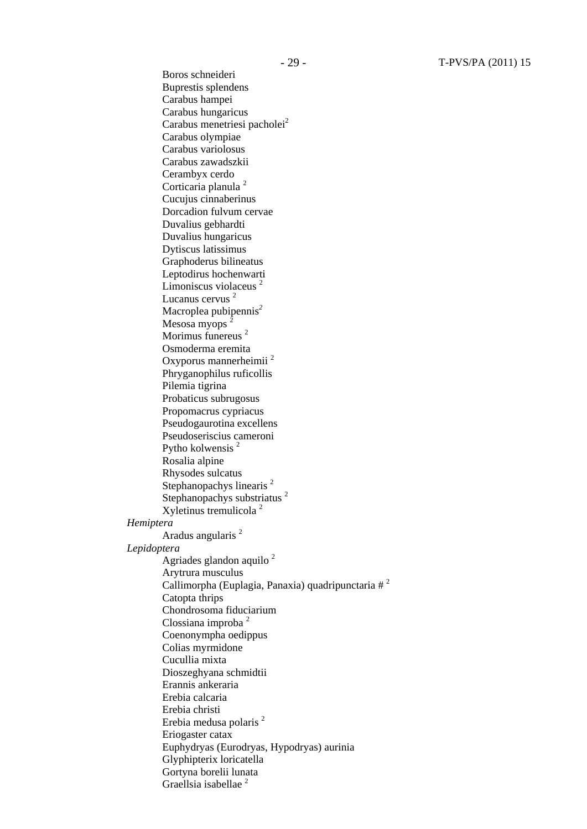Boros schneideri Buprestis splendens Carabus hampei Carabus hungaricus Carabus menetriesi pacholei<sup>2</sup> Carabus olympiae Carabus variolosus Carabus zawadszkii Cerambyx cerdo Corticaria planula<sup>2</sup> Cucujus cinnaberinus Dorcadion fulvum cervae Duvalius gebhardti Duvalius hungaricus Dytiscus latissimus Graphoderus bilineatus Leptodirus hochenwarti Limoniscus violaceus<sup>2</sup> Lucanus cervus<sup>2</sup> Macroplea pubipennis*<sup>2</sup>*  Mesosa myops<sup>2</sup> Morimus funereus<sup>2</sup> Osmoderma eremita Oxyporus mannerheimii <sup>2</sup> Phryganophilus ruficollis Pilemia tigrina Probaticus subrugosus Propomacrus cypriacus Pseudogaurotina excellens Pseudoseriscius cameroni Pytho kolwensis 2 Rosalia alpine Rhysodes sulcatus Stephanopachys linearis<sup>2</sup> Stephanopachys substriatus<sup>2</sup> Xyletinus tremulicola <sup>2</sup> *Hemiptera* Aradus angularis<sup>2</sup> *Lepidoptera* Agriades glandon aquilo  $2$ Arytrura musculus Callimorpha (Euplagia, Panaxia) quadripunctaria  $\#^2$ Catopta thrips Chondrosoma fiduciarium Clossiana improba <sup>2</sup> Coenonympha oedippus Colias myrmidone Cucullia mixta Dioszeghyana schmidtii Erannis ankeraria Erebia calcaria Erebia christi Erebia medusa polaris 2 Eriogaster catax Euphydryas (Eurodryas, Hypodryas) aurinia Glyphipterix loricatella Gortyna borelii lunata Graellsia isabellae<sup>2</sup>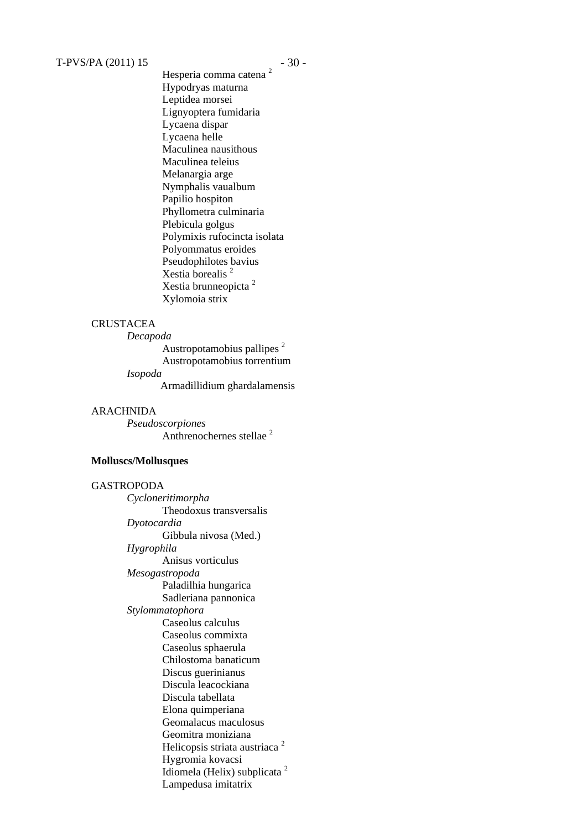# $T-PV S/PA (2011) 15 - 30 -$

Hesperia comma catena<sup>2</sup> Hypodryas maturna Leptidea morsei Lignyoptera fumidaria Lycaena dispar Lycaena helle Maculinea nausithous Maculinea teleius Melanargia arge Nymphalis vaualbum Papilio hospiton Phyllometra culminaria Plebicula golgus Polymixis rufocincta isolata Polyommatus eroides Pseudophilotes bavius Xestia borealis 2 Xestia brunneopicta <sup>2</sup> Xylomoia strix

#### **CRUSTACEA**

*Decapoda*

Austropotamobius pallipes<sup>2</sup> Austropotamobius torrentium *Isopoda*

Armadillidium ghardalamensis

#### ARACHNIDA

*Pseudoscorpiones* Anthrenochernes stellae<sup>2</sup>

### **Molluscs/Mollusques**

# GASTROPODA

*Cycloneritimorpha*  Theodoxus transversalis *Dyotocardia* Gibbula nivosa (Med.) *Hygrophila*  Anisus vorticulus *Mesogastropoda*  Paladilhia hungarica Sadleriana pannonica *Stylommatophora* Caseolus calculus Caseolus commixta Caseolus sphaerula Chilostoma banaticum Discus guerinianus Discula leacockiana Discula tabellata Elona quimperiana Geomalacus maculosus Geomitra moniziana Helicopsis striata austriaca<sup>2</sup> Hygromia kovacsi Idiomela (Helix) subplicata <sup>2</sup> Lampedusa imitatrix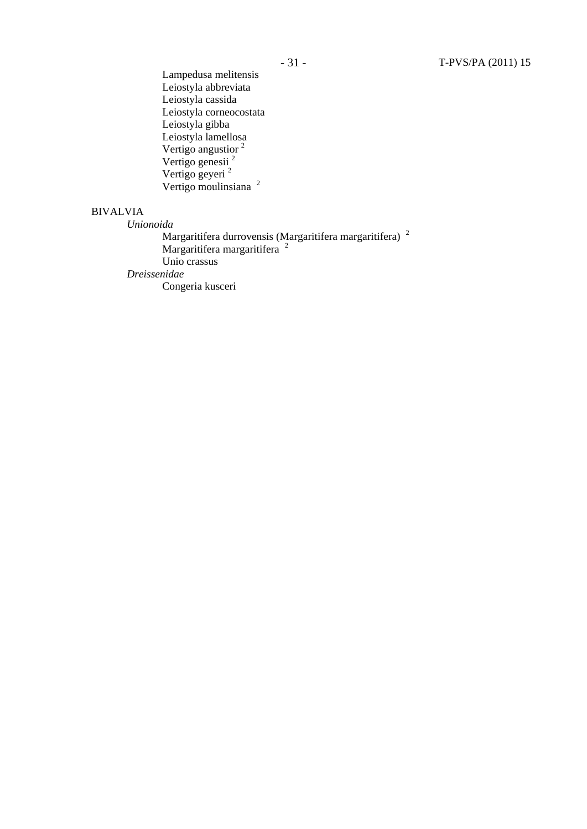Lampedusa melitensis Leiostyla abbreviata Leiostyla cassida Leiostyla corneocostata Leiostyla gibba Leiostyla lamellosa Vertigo angustior<sup>2</sup> Vertigo genesii<sup>2</sup> Vertigo geyeri 2 Vertigo moulinsiana <sup>2</sup>

# BIVALVIA

*Unionoida*

Margaritifera durrovensis (Margaritifera margaritifera)<sup>2</sup> Margaritifera margaritifera<sup>2</sup> Unio crassus *Dreissenidae*  Congeria kusceri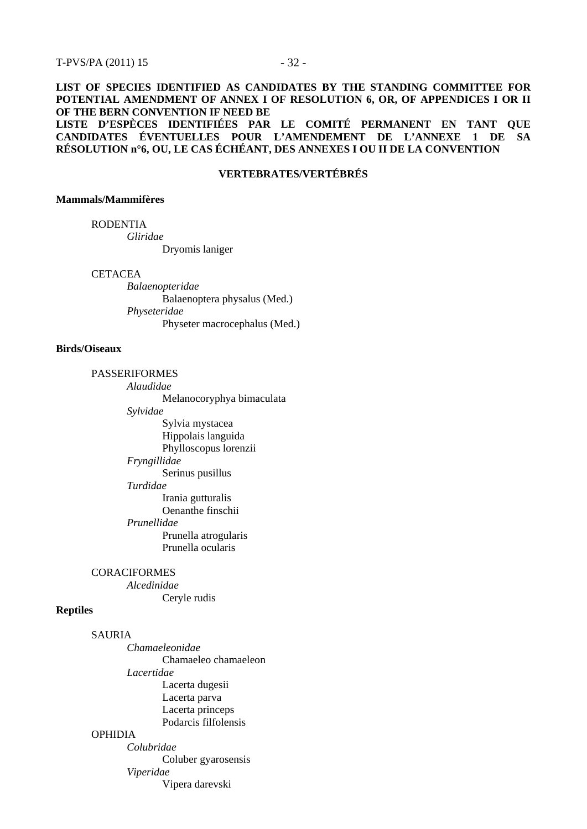### **LIST OF SPECIES IDENTIFIED AS CANDIDATES BY THE STANDING COMMITTEE FOR POTENTIAL AMENDMENT OF ANNEX I OF RESOLUTION 6, OR, OF APPENDICES I OR II OF THE BERN CONVENTION IF NEED BE**

**LISTE D'ESPÈCES IDENTIFIÉES PAR LE COMITÉ PERMANENT EN TANT QUE CANDIDATES ÉVENTUELLES POUR L'AMENDEMENT DE L'ANNEXE 1 DE SA RÉSOLUTION n°6, OU, LE CAS ÉCHÉANT, DES ANNEXES I OU II DE LA CONVENTION** 

### **VERTEBRATES/VERTÉBRÉS**

#### **Mammals/Mammifères**

RODENTIA

*Gliridae*

Dryomis laniger

#### **CETACEA**

*Balaenopteridae* Balaenoptera physalus (Med.) *Physeteridae* Physeter macrocephalus (Med.)

#### **Birds/Oiseaux**

#### PASSERIFORMES

*Alaudidae* Melanocoryphya bimaculata *Sylvidae*  Sylvia mystacea Hippolais languida Phylloscopus lorenzii *Fryngillidae* Serinus pusillus *Turdidae* Irania gutturalis Oenanthe finschii *Prunellidae*  Prunella atrogularis Prunella ocularis

#### **CORACIFORMES**

*Alcedinidae* Ceryle rudis

#### **Reptiles**

SAURIA

*Chamaeleonidae* Chamaeleo chamaeleon *Lacertidae* Lacerta dugesii Lacerta parva Lacerta princeps Podarcis filfolensis *Colubridae*

### OPHIDIA

Coluber gyarosensis *Viperidae* Vipera darevski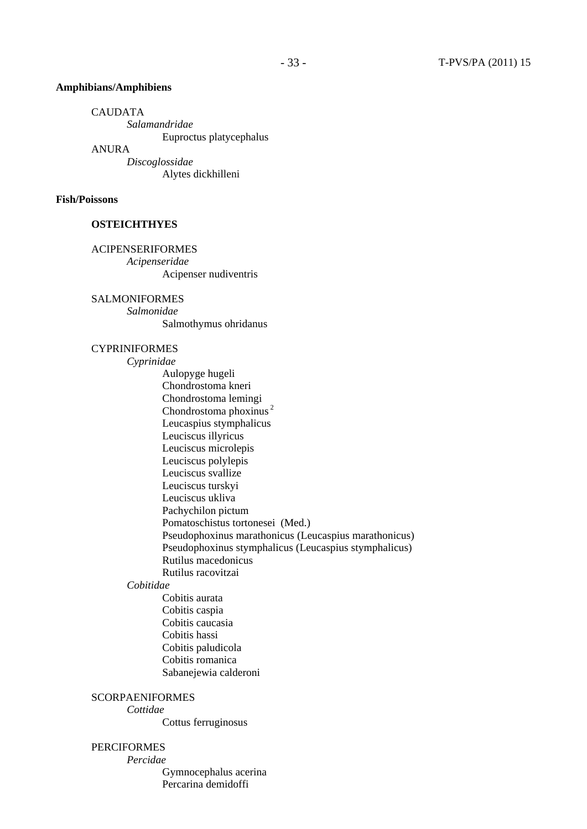#### **Amphibians/Amphibiens**

CAUDATA

*Salamandridae* Euproctus platycephalus

ANURA

*Discoglossidae* Alytes dickhilleni

### **Fish/Poissons**

### **OSTEICHTHYES**

ACIPENSERIFORMES

*Acipenseridae* Acipenser nudiventris

SALMONIFORMES

*Salmonidae* Salmothymus ohridanus

### CYPRINIFORMES

*Cyprinidae* Aulopyge hugeli Chondrostoma kneri Chondrostoma lemingi Chondrostoma phoxinus 2 Leucaspius stymphalicus Leuciscus illyricus Leuciscus microlepis Leuciscus polylepis Leuciscus svallize Leuciscus turskyi Leuciscus ukliva Pachychilon pictum Pomatoschistus tortonesei (Med.) Pseudophoxinus marathonicus (Leucaspius marathonicus) Pseudophoxinus stymphalicus (Leucaspius stymphalicus) Rutilus macedonicus Rutilus racovitzai

### *Cobitidae*

Cobitis aurata Cobitis caspia Cobitis caucasia Cobitis hassi Cobitis paludicola Cobitis romanica Sabanejewia calderoni

### **SCORPAENIFORMES**

*Cottidae* 

Cottus ferruginosus

# PERCIFORMES

*Percidae*

Gymnocephalus acerina Percarina demidoffi